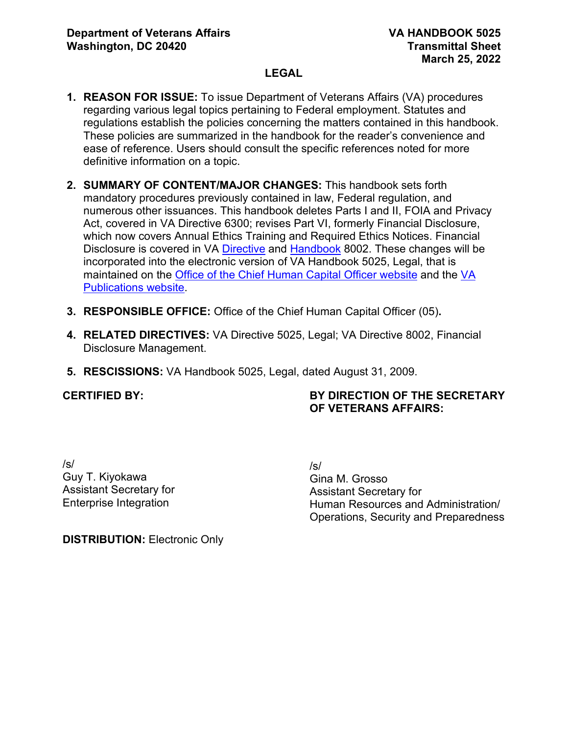- **1. REASON FOR ISSUE:** To issue Department of Veterans Affairs (VA) procedures regarding various legal topics pertaining to Federal employment. Statutes and regulations establish the policies concerning the matters contained in this handbook. These policies are summarized in the handbook for the reader's convenience and ease of reference. Users should consult the specific references noted for more definitive information on a topic.
- **2. SUMMARY OF CONTENT/MAJOR CHANGES:** This handbook sets forth mandatory procedures previously contained in law, Federal regulation, and numerous other issuances. This handbook deletes Parts I and II, FOIA and Privacy Act, covered in VA Directive 6300; revises Part VI, formerly Financial Disclosure, which now covers Annual Ethics Training and Required Ethics Notices. Financial Disclosure is covered in VA [Directive](https://vaww.va.gov/vapubs/viewPublication.asp?Pub_ID=807&FType=2) and [Handbook](https://vaww.va.gov/vapubs/viewPublication.asp?Pub_ID=808&FType=2) 8002. These changes will be incorporated into the electronic version of VA Handbook 5025, Legal, that is maintained on the [Office of the Chief Human Capital Officer website](https://vaww.va.gov/OHRM/HRLibrary/Dir-Policy.htm) and the [VA](https://vaww.va.gov/vapubs/search_action.cfm?dType=1)  [Publications website.](https://vaww.va.gov/vapubs/search_action.cfm?dType=1)
- **3. RESPONSIBLE OFFICE:** Office of the Chief Human Capital Officer (05)**.**
- **4. RELATED DIRECTIVES:** VA Directive 5025, Legal; VA Directive 8002, Financial Disclosure Management.
- **5. RESCISSIONS:** VA Handbook 5025, Legal, dated August 31, 2009.

#### **CERTIFIED BY:**

### **BY DIRECTION OF THE SECRETARY OF VETERANS AFFAIRS:**

/s/ Guy T. Kiyokawa Assistant Secretary for Enterprise Integration

/s/ Gina M. Grosso Assistant Secretary for Human Resources and Administration/ Operations, Security and Preparedness

**DISTRIBUTION:** Electronic Only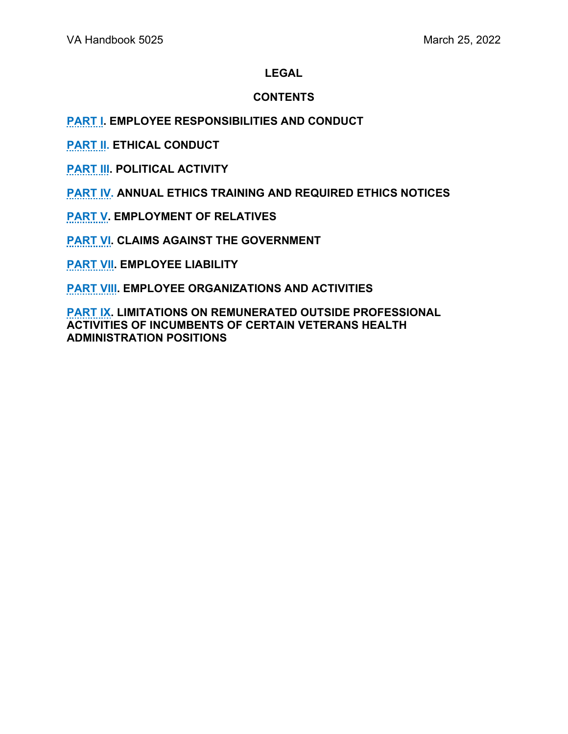### **CONTENTS**

### **[PART I.](#page-2-0) EMPLOYEE RESPONSIBILITIES AND CONDUCT**

**[PART II.](#page-6-0) ETHICAL CONDUCT**

**[PART III.](#page-13-0) POLITICAL ACTIVITY** 

**[PART IV.](#page-17-0) ANNUAL ETHICS TRAINING AND REQUIRED ETHICS NOTICES**

**[PART V.](#page-23-0) EMPLOYMENT OF RELATIVES** 

**[PART VI.](#page-26-0) CLAIMS AGAINST THE GOVERNMENT** 

**[PART VII.](#page-29-0) EMPLOYEE LIABILITY** 

**[PART VIII.](#page-31-0) EMPLOYEE ORGANIZATIONS AND ACTIVITIES** 

**[PART IX.](#page-36-0) LIMITATIONS ON REMUNERATED OUTSIDE PROFESSIONAL ACTIVITIES OF INCUMBENTS OF CERTAIN VETERANS HEALTH ADMINISTRATION POSITIONS**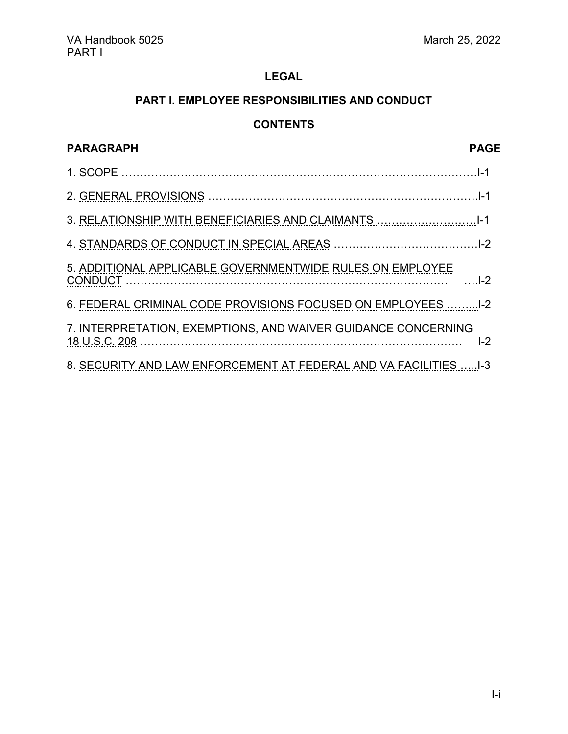# **PART I. EMPLOYEE RESPONSIBILITIES AND CONDUCT**

# **CONTENTS**

<span id="page-2-0"></span>

| <b>PARAGRAPH</b>                                                  | <b>PAGE</b> |
|-------------------------------------------------------------------|-------------|
|                                                                   |             |
|                                                                   |             |
|                                                                   |             |
|                                                                   |             |
| 5. ADDITIONAL APPLICABLE GOVERNMENTWIDE RULES ON EMPLOYEE         |             |
| 6. FEDERAL CRIMINAL CODE PROVISIONS FOCUSED ON EMPLOYEES  1-2     |             |
| 7. INTERPRETATION, EXEMPTIONS, AND WAIVER GUIDANCE CONCERNING     | $I-2$       |
| 8. SECURITY AND LAW ENFORCEMENT AT FEDERAL AND VA FACILITIES  1-3 |             |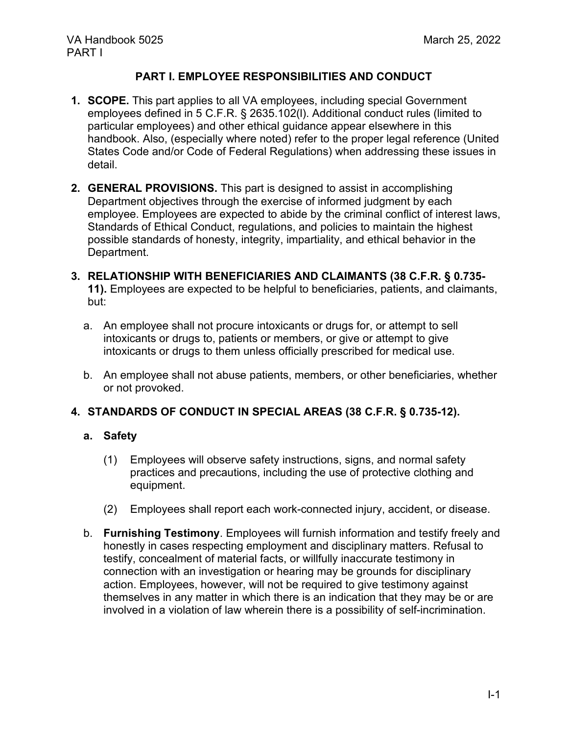### **PART I. EMPLOYEE RESPONSIBILITIES AND CONDUCT**

- **1. SCOPE.** This part applies to all VA employees, including special Government employees defined in 5 C.F.R. § 2635.102(l). Additional conduct rules (limited to particular employees) and other ethical guidance appear elsewhere in this handbook. Also, (especially where noted) refer to the proper legal reference (United States Code and/or Code of Federal Regulations) when addressing these issues in detail.
- **2. GENERAL PROVISIONS.** This part is designed to assist in accomplishing Department objectives through the exercise of informed judgment by each employee. Employees are expected to abide by the criminal conflict of interest laws, Standards of Ethical Conduct, regulations, and policies to maintain the highest possible standards of honesty, integrity, impartiality, and ethical behavior in the Department.
- **3. RELATIONSHIP WITH BENEFICIARIES AND CLAIMANTS (38 C.F.R. § 0.735- 11).** Employees are expected to be helpful to beneficiaries, patients, and claimants, but:
	- a. An employee shall not procure intoxicants or drugs for, or attempt to sell intoxicants or drugs to, patients or members, or give or attempt to give intoxicants or drugs to them unless officially prescribed for medical use.
	- b. An employee shall not abuse patients, members, or other beneficiaries, whether or not provoked.

#### **4. STANDARDS OF CONDUCT IN SPECIAL AREAS (38 C.F.R. § 0.735-12).**

#### **a. Safety**

- (1) Employees will observe safety instructions, signs, and normal safety practices and precautions, including the use of protective clothing and equipment.
- (2) Employees shall report each work-connected injury, accident, or disease.
- b. **Furnishing Testimony**. Employees will furnish information and testify freely and honestly in cases respecting employment and disciplinary matters. Refusal to testify, concealment of material facts, or willfully inaccurate testimony in connection with an investigation or hearing may be grounds for disciplinary action. Employees, however, will not be required to give testimony against themselves in any matter in which there is an indication that they may be or are involved in a violation of law wherein there is a possibility of self-incrimination.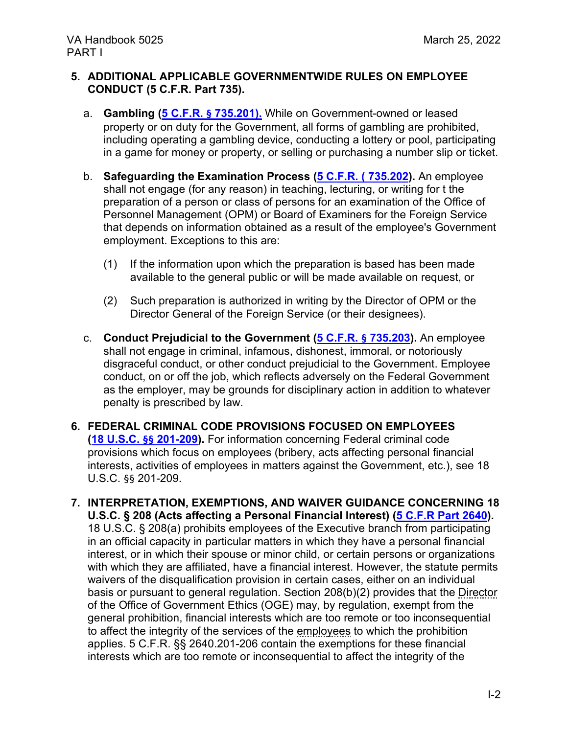#### **5. ADDITIONAL APPLICABLE GOVERNMENTWIDE RULES ON EMPLOYEE CONDUCT (5 C.F.R. Part 735).**

- a. **Gambling (5 C.F.R. § [735.201\).](https://www.ecfr.gov/current/title-5/chapter-I/subchapter-B/part-735/subpart-B/section-735.201)** While on Government-owned or leased property or on duty for the Government, all forms of gambling are prohibited, including operating a gambling device, conducting a lottery or pool, participating in a game for money or property, or selling or purchasing a number slip or ticket.
- b. **Safeguarding the Examination Process [\(5 C.F.R. \( 735.202\)](https://www.ecfr.gov/current/title-5/chapter-I/subchapter-B/part-735/subpart-B/section-735.202).** An employee shall not engage (for any reason) in teaching, lecturing, or writing for t the preparation of a person or class of persons for an examination of the Office of Personnel Management (OPM) or Board of Examiners for the Foreign Service that depends on information obtained as a result of the employee's Government employment. Exceptions to this are:
	- (1) If the information upon which the preparation is based has been made available to the general public or will be made available on request, or
	- (2) Such preparation is authorized in writing by the Director of OPM or the Director General of the Foreign Service (or their designees).
- c. **Conduct Prejudicial to the Government (5 C.F.R. § [735.203\)](https://www.ecfr.gov/current/title-5/chapter-I/subchapter-B/part-735/subpart-B/section-735.203).** An employee shall not engage in criminal, infamous, dishonest, immoral, or notoriously disgraceful conduct, or other conduct prejudicial to the Government. Employee conduct, on or off the job, which reflects adversely on the Federal Government as the employer, may be grounds for disciplinary action in addition to whatever penalty is prescribed by law.

#### **6. FEDERAL CRIMINAL CODE PROVISIONS FOCUSED ON EMPLOYEES [\(18 U.S.C.](https://www.govinfo.gov/content/pkg/USCODE-2010-title18/pdf/USCODE-2010-title18-partI-chap11.pdf) §§ 201-209).** For information concerning Federal criminal code provisions which focus on employees (bribery, acts affecting personal financial interests, activities of employees in matters against the Government, etc.), see 18 U.S.C. §§ 201-209.

**7. INTERPRETATION, EXEMPTIONS, AND WAIVER GUIDANCE CONCERNING 18 U.S.C. § 208 (Acts affecting a Personal Financial Interest) [\(5 C.F.R Part 2640\)](https://www.ecfr.gov/current/title-5/chapter-XVI/subchapter-B/part-2640?toc=1).**  18 U.S.C. § 208(a) prohibits employees of the Executive branch from participating in an official capacity in particular matters in which they have a personal financial interest, or in which their spouse or minor child, or certain persons or organizations with which they are affiliated, have a financial interest. However, the statute permits waivers of the disqualification provision in certain cases, either on an individual basis or pursuant to general regulation. Section 208(b)(2) provides that the Director of the Office of Government Ethics (OGE) may, by regulation, exempt from the general prohibition, financial interests which are too remote or too inconsequential to affect the integrity of the services of the employees to which the prohibition applies. 5 C.F.R. §§ 2640.201-206 contain the exemptions for these financial interests which are too remote or inconsequential to affect the integrity of the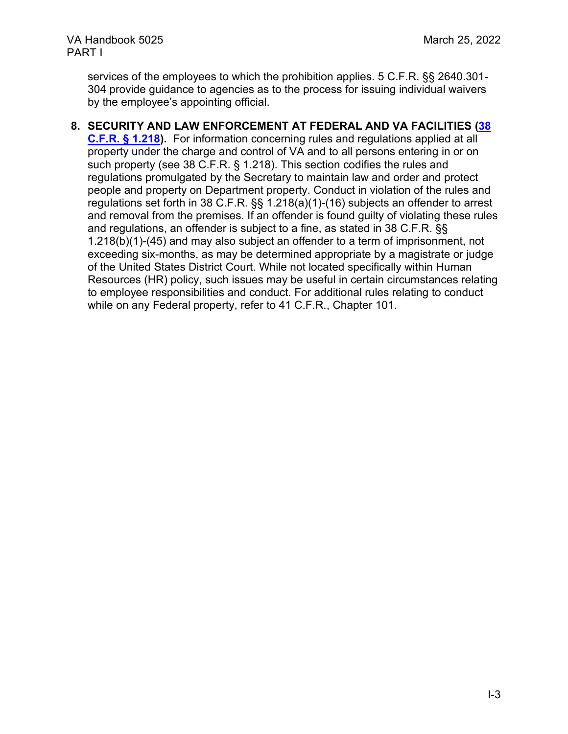services of the employees to which the prohibition applies. 5 C.F.R. §§ 2640.301- 304 provide guidance to agencies as to the process for issuing individual waivers by the employee's appointing official.

### **8. SECURITY AND LAW ENFORCEMENT AT FEDERAL AND VA FACILITIES [\(38](https://www.ecfr.gov/current/title-38/chapter-I/part-1/subject-group-ECFRe2d137639496266#1.218)**

**C.F.R. [§ 1.218\)](https://www.ecfr.gov/current/title-38/chapter-I/part-1/subject-group-ECFRe2d137639496266#1.218).** For information concerning rules and regulations applied at all property under the charge and control of VA and to all persons entering in or on such property (see 38 C.F.R. § 1.218). This section codifies the rules and regulations promulgated by the Secretary to maintain law and order and protect people and property on Department property. Conduct in violation of the rules and regulations set forth in 38 C.F.R. §§ 1.218(a)(1)-(16) subjects an offender to arrest and removal from the premises. If an offender is found guilty of violating these rules and regulations, an offender is subject to a fine, as stated in 38 C.F.R. §§ 1.218(b)(1)-(45) and may also subject an offender to a term of imprisonment, not exceeding six-months, as may be determined appropriate by a magistrate or judge of the United States District Court. While not located specifically within Human Resources (HR) policy, such issues may be useful in certain circumstances relating to employee responsibilities and conduct. For additional rules relating to conduct while on any Federal property, refer to 41 C.F.R., Chapter 101.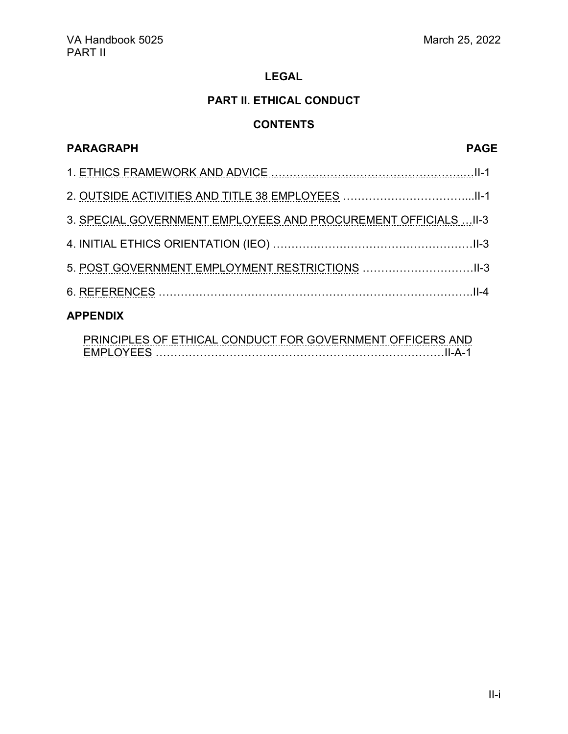### **PART II. ETHICAL CONDUCT**

## **CONTENTS**

<span id="page-6-0"></span>

| <b>PARAGRAPH</b>                                                | <b>PAGE</b> |
|-----------------------------------------------------------------|-------------|
|                                                                 |             |
|                                                                 |             |
| 3. SPECIAL GOVERNMENT EMPLOYEES AND PROCUREMENT OFFICIALS  II-3 |             |
|                                                                 |             |
|                                                                 |             |
|                                                                 |             |
| <b>APPENDIX</b>                                                 |             |
|                                                                 |             |

[PRINCIPLES OF ETHICAL CONDUCT FOR GOVERNMENT OFFICERS AND](#page-11-0) [EMPLOYEES](#page-11-0) ……………………………………………………………………II-A-1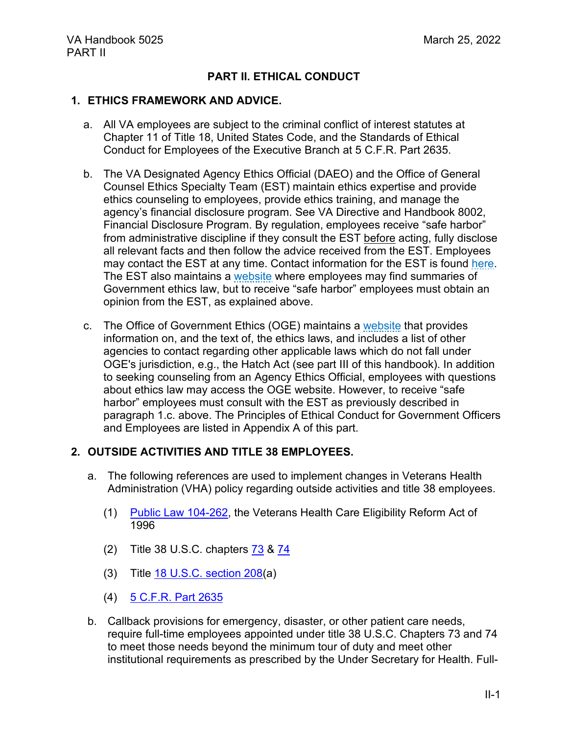### **PART II. ETHICAL CONDUCT**

#### **1. ETHICS FRAMEWORK AND ADVICE.**

- a. All VA employees are subject to the criminal conflict of interest statutes at Chapter 11 of Title 18, United States Code, and the Standards of Ethical Conduct for Employees of the Executive Branch at 5 C.F.R. Part 2635.
- b. The VA Designated Agency Ethics Official (DAEO) and the Office of General Counsel Ethics Specialty Team (EST) maintain ethics expertise and provide ethics counseling to employees, provide ethics training, and manage the agency's financial disclosure program. See VA Directive and Handbook 8002, Financial Disclosure Program. By regulation, employees receive "safe harbor" from administrative discipline if they consult the EST before acting, fully disclose all relevant facts and then follow the advice received from the EST. Employees may contact the EST at any time. Contact information for the EST is found [here.](http://www.va.gov/OGC/docs/Ethics/VA_Ethics_Officials_Contacts.pdf) The EST also maintains a [website](https://dvagov.sharepoint.com/sites/OGC-Client/law/ethics/SitePages/Home.aspx) where employees may find summaries of Government ethics law, but to receive "safe harbor" employees must obtain an opinion from the EST, as explained above.
- c. The Office of Government Ethics (OGE) maintains a [website](https://oge.gov/) that provides information on, and the text of, the ethics laws, and includes a list of other agencies to contact regarding other applicable laws which do not fall under OGE's jurisdiction, e.g., the Hatch Act (see part III of this handbook). In addition to seeking counseling from an Agency Ethics Official, employees with questions about ethics law may access the OGE website. However, to receive "safe harbor" employees must consult with the EST as previously described in paragraph 1.c. above. The Principles of Ethical Conduct for Government Officers and Employees are listed in Appendix A of this part.

#### **2. OUTSIDE ACTIVITIES AND TITLE 38 EMPLOYEES.**

- a. The following references are used to implement changes in Veterans Health Administration (VHA) policy regarding outside activities and title 38 employees.
	- (1) [Public Law 104-262,](https://www.govinfo.gov/content/pkg/PLAW-104publ262/pdf/PLAW-104publ262.pdf) the Veterans Health Care Eligibility Reform Act of 1996
	- (2) Title 38 U.S.C. chapters [73](https://www.govinfo.gov/content/pkg/USCODE-2011-title38/pdf/USCODE-2011-title38-partV-chap73.pdf) & [74](https://www.govinfo.gov/content/pkg/USCODE-2010-title38/pdf/USCODE-2010-title38-partV-chap74.pdf)
	- (3) Title [18 U.S.C. section 208\(](https://www.govinfo.gov/content/pkg/USCODE-2010-title18/pdf/USCODE-2010-title18-partI-chap11-sec208.pdf)a)
	- (4) [5 C.F.R. Part 2635](https://www.ecfr.gov/current/title-5/chapter-XVI/subchapter-B/part-2635?toc=1)
- b. Callback provisions for emergency, disaster, or other patient care needs, require full-time employees appointed under title 38 U.S.C. Chapters 73 and 74 to meet those needs beyond the minimum tour of duty and meet other institutional requirements as prescribed by the Under Secretary for Health. Full-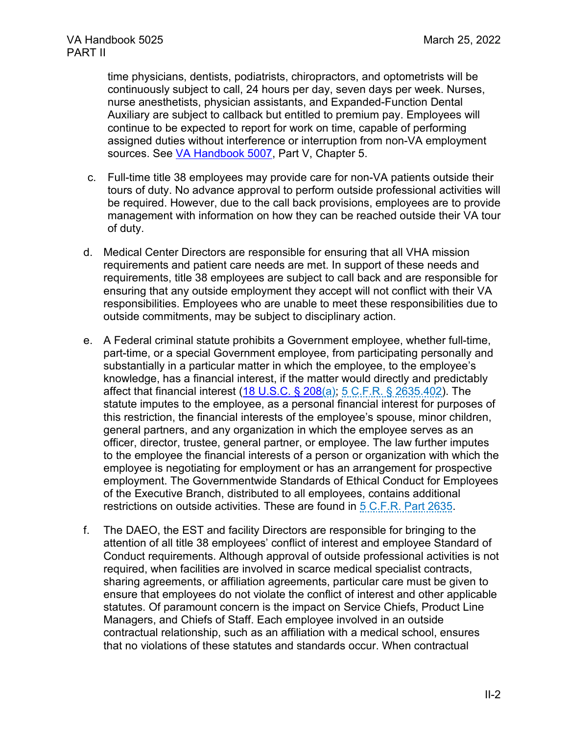time physicians, dentists, podiatrists, chiropractors, and optometrists will be continuously subject to call, 24 hours per day, seven days per week. Nurses, nurse anesthetists, physician assistants, and Expanded-Function Dental Auxiliary are subject to callback but entitled to premium pay. Employees will continue to be expected to report for work on time, capable of performing assigned duties without interference or interruption from non-VA employment sources. See [VA Handbook 5007,](https://vaww.va.gov/vapubs/viewPublication.asp?Pub_ID=1270&FType=2) Part V, Chapter 5.

- c. Full-time title 38 employees may provide care for non-VA patients outside their tours of duty. No advance approval to perform outside professional activities will be required. However, due to the call back provisions, employees are to provide management with information on how they can be reached outside their VA tour of duty.
- d. Medical Center Directors are responsible for ensuring that all VHA mission requirements and patient care needs are met. In support of these needs and requirements, title 38 employees are subject to call back and are responsible for ensuring that any outside employment they accept will not conflict with their VA responsibilities. Employees who are unable to meet these responsibilities due to outside commitments, may be subject to disciplinary action.
- e. A Federal criminal statute prohibits a Government employee, whether full-time, part-time, or a special Government employee, from participating personally and substantially in a particular matter in which the employee, to the employee's knowledge, has a financial interest, if the matter would directly and predictably affect that financial interest [\(18 U.S.C. § 208\(](https://www.govinfo.gov/content/pkg/USCODE-2018-title18/html/USCODE-2018-title18-partI-chap11-sec208.htm)a); [5 C.F.R. § 2635.402\)](https://www.ecfr.gov/cgi-bin/text-idx?SID=05f15c66d768fb428caf20ca4caf3eb2&mc=true&node=pt5.3.2635&rgn=div5#se5.3.2635_1402). The statute imputes to the employee, as a personal financial interest for purposes of this restriction, the financial interests of the employee's spouse, minor children, general partners, and any organization in which the employee serves as an officer, director, trustee, general partner, or employee. The law further imputes to the employee the financial interests of a person or organization with which the employee is negotiating for employment or has an arrangement for prospective employment. The Governmentwide Standards of Ethical Conduct for Employees of the Executive Branch, distributed to all employees, contains additional restrictions on outside activities. These are found in [5 C.F.R. Part 2635.](https://www.ecfr.gov/cgi-bin/text-idx?SID=05f15c66d768fb428caf20ca4caf3eb2&mc=true&node=pt5.3.2635&rgn=div5)
- f. The DAEO, the EST and facility Directors are responsible for bringing to the attention of all title 38 employees' conflict of interest and employee Standard of Conduct requirements. Although approval of outside professional activities is not required, when facilities are involved in scarce medical specialist contracts, sharing agreements, or affiliation agreements, particular care must be given to ensure that employees do not violate the conflict of interest and other applicable statutes. Of paramount concern is the impact on Service Chiefs, Product Line Managers, and Chiefs of Staff. Each employee involved in an outside contractual relationship, such as an affiliation with a medical school, ensures that no violations of these statutes and standards occur. When contractual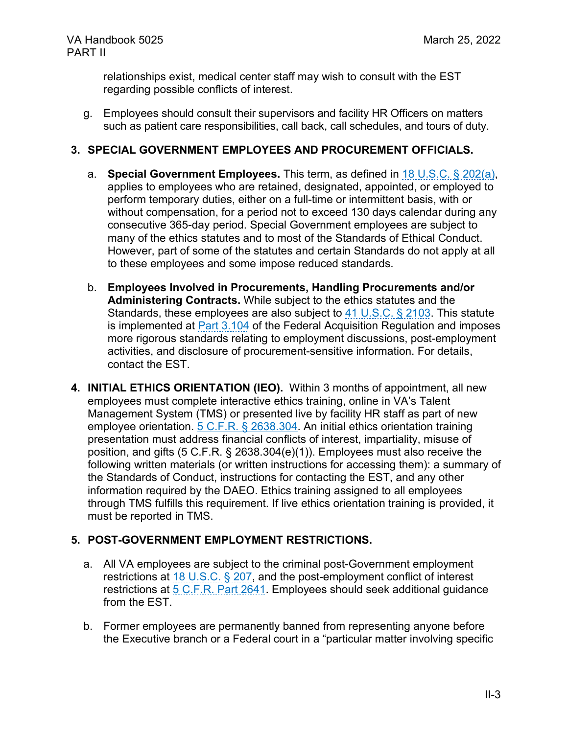relationships exist, medical center staff may wish to consult with the EST regarding possible conflicts of interest.

g. Employees should consult their supervisors and facility HR Officers on matters such as patient care responsibilities, call back, call schedules, and tours of duty.

#### **3. SPECIAL GOVERNMENT EMPLOYEES AND PROCUREMENT OFFICIALS.**

- a. **Special Government Employees.** This term, as defined in [18 U.S.C. § 202\(](https://www.govinfo.gov/content/pkg/USCODE-2018-title18/html/USCODE-2018-title18-partI-chap11-sec202.htm)a), applies to employees who are retained, designated, appointed, or employed to perform temporary duties, either on a full-time or intermittent basis, with or without compensation, for a period not to exceed 130 days calendar during any consecutive 365-day period. Special Government employees are subject to many of the ethics statutes and to most of the Standards of Ethical Conduct. However, part of some of the statutes and certain Standards do not apply at all to these employees and some impose reduced standards.
- b. **Employees Involved in Procurements, Handling Procurements and/or Administering Contracts.** While subject to the ethics statutes and the Standards, these employees are also subject to  $41 \cup S.C. \S$  2103. This statute is implemented at [Part 3.104](https://www.acquisition.gov/far/3.104) of the Federal Acquisition Regulation and imposes more rigorous standards relating to employment discussions, post-employment activities, and disclosure of procurement-sensitive information. For details, contact the EST.
- **4. INITIAL ETHICS ORIENTATION (IEO).** Within 3 months of appointment, all new employees must complete interactive ethics training, online in VA's Talent Management System (TMS) or presented live by facility HR staff as part of new employee orientation. 5 C.F.R. [§ 2638.304.](https://www.ecfr.gov/cgi-bin/text-idx?SID=f67fe503e2bf13f31711e3db28219546&mc=true&node=pt5.3.2638&rgn=div5#se5.3.2638_1304) An initial ethics orientation training presentation must address financial conflicts of interest, impartiality, misuse of position, and gifts (5 C.F.R. § 2638.304(e)(1)). Employees must also receive the following written materials (or written instructions for accessing them): a summary of the Standards of Conduct, instructions for contacting the EST, and any other information required by the DAEO. Ethics training assigned to all employees through TMS fulfills this requirement. If live ethics orientation training is provided, it must be reported in TMS.

### **5. POST-GOVERNMENT EMPLOYMENT RESTRICTIONS.**

- a. All VA employees are subject to the criminal post-Government employment restrictions at [18 U.S.C. § 207,](https://www.govinfo.gov/content/pkg/USCODE-2018-title18/html/USCODE-2018-title18-partI-chap11-sec207.htm) and the post-employment conflict of interest restrictions at 5 C.F.R. [Part 2641.](https://www.ecfr.gov/cgi-bin/text-idx?SID=30a2ef8dca8a6569809ce742a2966f32&mc=true&node=pt5.3.2641&rgn=div5) Employees should seek additional guidance from the EST.
- b. Former employees are permanently banned from representing anyone before the Executive branch or a Federal court in a "particular matter involving specific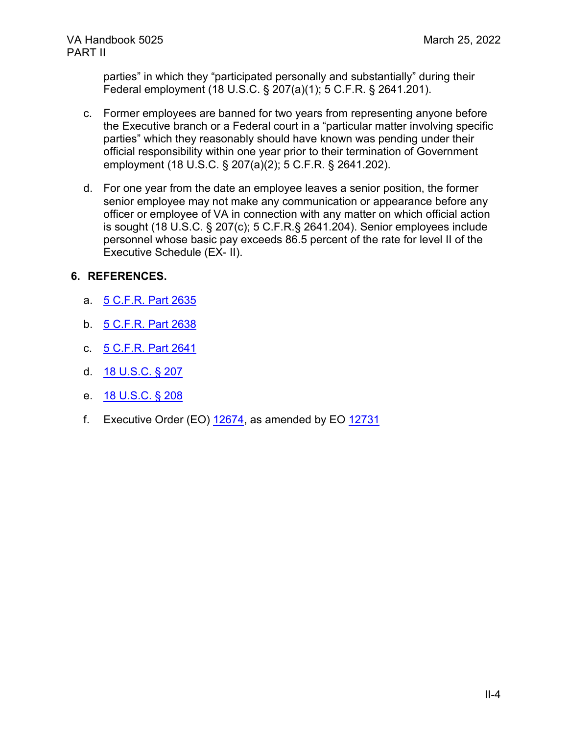parties" in which they "participated personally and substantially" during their Federal employment (18 U.S.C. § 207(a)(1); 5 C.F.R. § 2641.201).

- c. Former employees are banned for two years from representing anyone before the Executive branch or a Federal court in a "particular matter involving specific parties" which they reasonably should have known was pending under their official responsibility within one year prior to their termination of Government employment (18 U.S.C. § 207(a)(2); 5 C.F.R. § 2641.202).
- d. For one year from the date an employee leaves a senior position, the former senior employee may not make any communication or appearance before any officer or employee of VA in connection with any matter on which official action is sought (18 U.S.C. § 207(c); 5 C.F.R.§ 2641.204). Senior employees include personnel whose basic pay exceeds 86.5 percent of the rate for level II of the Executive Schedule (EX- II).

### **6. REFERENCES.**

- a. [5 C.F.R. Part 2635](https://www.ecfr.gov/current/title-5/chapter-XVI/subchapter-B/part-2635?toc=1)
- b. [5 C.F.R. Part 2638](https://www.ecfr.gov/current/title-5/chapter-XVI/subchapter-B/part-2638?toc=1)
- c. [5 C.F.R. Part 2641](https://www.ecfr.gov/current/title-5/chapter-XVI/subchapter-B/part-2641?toc=1)
- d. [18 U.S.C. § 207](https://www.govinfo.gov/content/pkg/USCODE-2020-title18/pdf/USCODE-2020-title18-partI-chap11-sec207.pdf)
- e. [18 U.S.C. § 208](https://www.ecfr.gov/current/title-5/chapter-XVI/subchapter-B/part-2641?toc=1)
- f. Executive Order (EO) [12674,](https://oge.gov/Web/oge.nsf/Legal%20Docs/3C728A4A61F46BB9852585BA005BF000/$FILE/2cffba1932d54681af32485c48d855282.pdf?open) as amended by EO [12731](https://oge.gov/Web/oge.nsf/Legal%20Docs/50FF3D56F1834B87852585BA005BEFFF/$FILE/f69da5359a134002808b96ca703cc4692.pdf?open)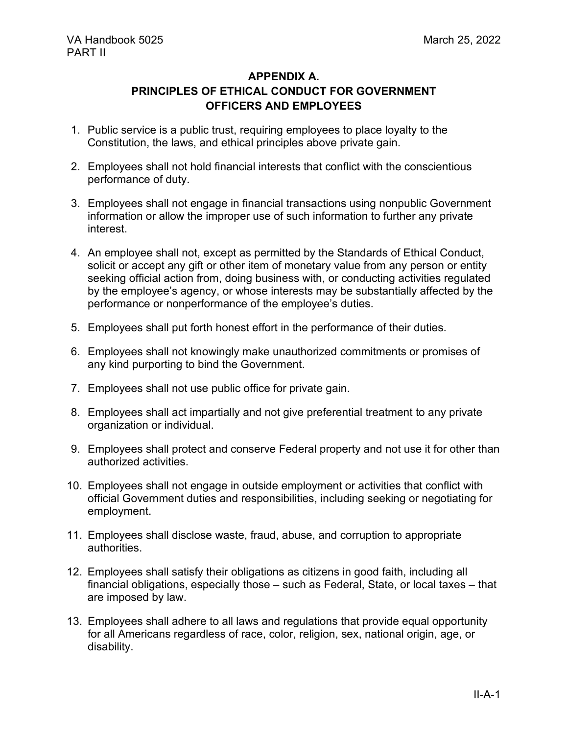#### **APPENDIX A.**

# **PRINCIPLES OF ETHICAL CONDUCT FOR GOVERNMENT OFFICERS AND EMPLOYEES**

- <span id="page-11-0"></span>1. Public service is a public trust, requiring employees to place loyalty to the Constitution, the laws, and ethical principles above private gain.
- 2. Employees shall not hold financial interests that conflict with the conscientious performance of duty.
- 3. Employees shall not engage in financial transactions using nonpublic Government information or allow the improper use of such information to further any private interest.
- 4. An employee shall not, except as permitted by the Standards of Ethical Conduct, solicit or accept any gift or other item of monetary value from any person or entity seeking official action from, doing business with, or conducting activities regulated by the employee's agency, or whose interests may be substantially affected by the performance or nonperformance of the employee's duties.
- 5. Employees shall put forth honest effort in the performance of their duties.
- 6. Employees shall not knowingly make unauthorized commitments or promises of any kind purporting to bind the Government.
- 7. Employees shall not use public office for private gain.
- 8. Employees shall act impartially and not give preferential treatment to any private organization or individual.
- 9. Employees shall protect and conserve Federal property and not use it for other than authorized activities.
- 10. Employees shall not engage in outside employment or activities that conflict with official Government duties and responsibilities, including seeking or negotiating for employment.
- 11. Employees shall disclose waste, fraud, abuse, and corruption to appropriate authorities.
- 12. Employees shall satisfy their obligations as citizens in good faith, including all financial obligations, especially those – such as Federal, State, or local taxes – that are imposed by law.
- 13. Employees shall adhere to all laws and regulations that provide equal opportunity for all Americans regardless of race, color, religion, sex, national origin, age, or disability.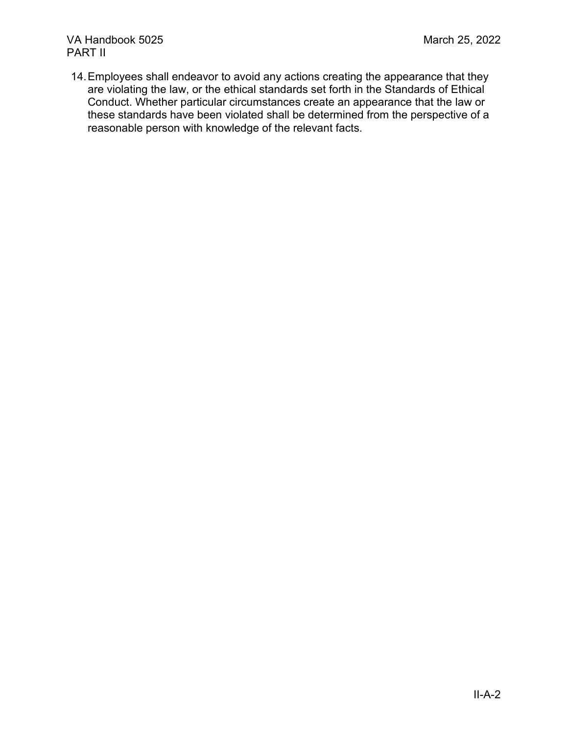14.Employees shall endeavor to avoid any actions creating the appearance that they are violating the law, or the ethical standards set forth in the Standards of Ethical Conduct. Whether particular circumstances create an appearance that the law or these standards have been violated shall be determined from the perspective of a reasonable person with knowledge of the relevant facts.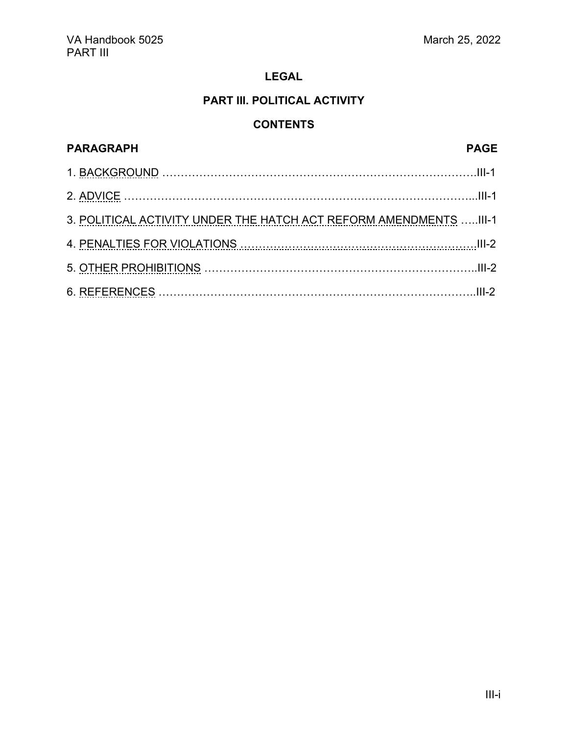# **PART III. POLITICAL ACTIVITY**

# **CONTENTS**

<span id="page-13-0"></span>

| <b>PARAGRAPH</b>                                                   | <b>PAGE</b> |
|--------------------------------------------------------------------|-------------|
|                                                                    |             |
|                                                                    |             |
| 3. POLITICAL ACTIVITY UNDER THE HATCH ACT REFORM AMENDMENTS  III-1 |             |
|                                                                    |             |
|                                                                    |             |
|                                                                    |             |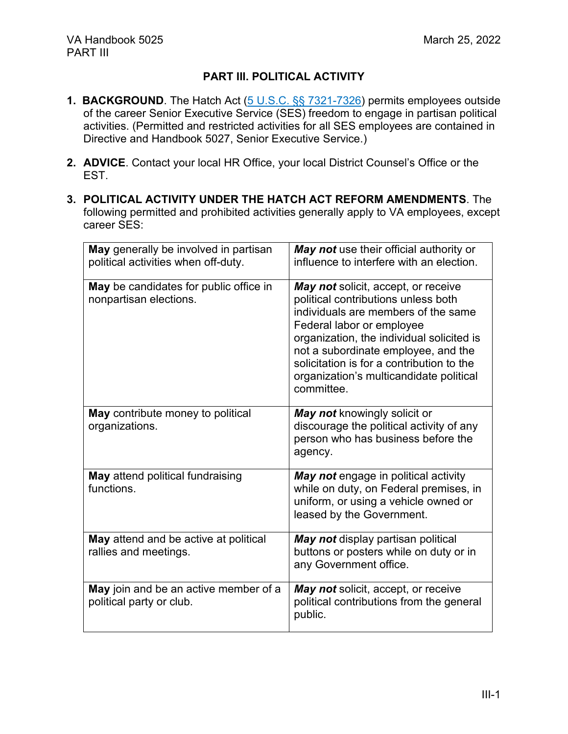### **PART III. POLITICAL ACTIVITY**

- **1. BACKGROUND**. The Hatch Act [\(5 U.S.C. §§ 7321-7326\)](https://www.govinfo.gov/content/pkg/USCODE-2018-title5/html/USCODE-2018-title5-partIII-subpartF-chap73-subchapIII.htm) permits employees outside of the career Senior Executive Service (SES) freedom to engage in partisan political activities. (Permitted and restricted activities for all SES employees are contained in Directive and Handbook 5027, Senior Executive Service.)
- **2. ADVICE**. Contact your local HR Office, your local District Counsel's Office or the EST.
- **3. POLITICAL ACTIVITY UNDER THE HATCH ACT REFORM AMENDMENTS**. The following permitted and prohibited activities generally apply to VA employees, except career SES:

| May generally be involved in partisan<br>political activities when off-duty. | May not use their official authority or<br>influence to interfere with an election.                                                                                                                                                                                                                                                      |
|------------------------------------------------------------------------------|------------------------------------------------------------------------------------------------------------------------------------------------------------------------------------------------------------------------------------------------------------------------------------------------------------------------------------------|
| May be candidates for public office in<br>nonpartisan elections.             | May not solicit, accept, or receive<br>political contributions unless both<br>individuals are members of the same<br>Federal labor or employee<br>organization, the individual solicited is<br>not a subordinate employee, and the<br>solicitation is for a contribution to the<br>organization's multicandidate political<br>committee. |
| May contribute money to political<br>organizations.                          | May not knowingly solicit or<br>discourage the political activity of any<br>person who has business before the<br>agency.                                                                                                                                                                                                                |
| May attend political fundraising<br>functions.                               | May not engage in political activity<br>while on duty, on Federal premises, in<br>uniform, or using a vehicle owned or<br>leased by the Government.                                                                                                                                                                                      |
| May attend and be active at political<br>rallies and meetings.               | May not display partisan political<br>buttons or posters while on duty or in<br>any Government office.                                                                                                                                                                                                                                   |
| May join and be an active member of a<br>political party or club.            | May not solicit, accept, or receive<br>political contributions from the general<br>public.                                                                                                                                                                                                                                               |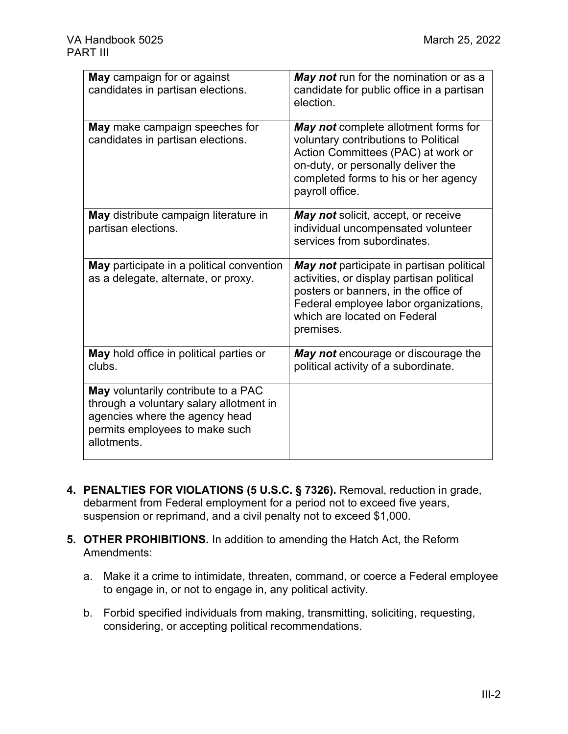| May campaign for or against<br>candidates in partisan elections.                                                                                                  | May not run for the nomination or as a<br>candidate for public office in a partisan<br>election.                                                                                                                     |
|-------------------------------------------------------------------------------------------------------------------------------------------------------------------|----------------------------------------------------------------------------------------------------------------------------------------------------------------------------------------------------------------------|
| May make campaign speeches for<br>candidates in partisan elections.                                                                                               | May not complete allotment forms for<br>voluntary contributions to Political<br>Action Committees (PAC) at work or<br>on-duty, or personally deliver the<br>completed forms to his or her agency<br>payroll office.  |
| May distribute campaign literature in<br>partisan elections.                                                                                                      | <b>May not</b> solicit, accept, or receive<br>individual uncompensated volunteer<br>services from subordinates.                                                                                                      |
| May participate in a political convention<br>as a delegate, alternate, or proxy.                                                                                  | May not participate in partisan political<br>activities, or display partisan political<br>posters or banners, in the office of<br>Federal employee labor organizations,<br>which are located on Federal<br>premises. |
| May hold office in political parties or<br>clubs.                                                                                                                 | May not encourage or discourage the<br>political activity of a subordinate.                                                                                                                                          |
| May voluntarily contribute to a PAC<br>through a voluntary salary allotment in<br>agencies where the agency head<br>permits employees to make such<br>allotments. |                                                                                                                                                                                                                      |

- **4. PENALTIES FOR VIOLATIONS (5 U.S.C. § 7326).** Removal, reduction in grade, debarment from Federal employment for a period not to exceed five years, suspension or reprimand, and a civil penalty not to exceed \$1,000.
- **5. OTHER PROHIBITIONS.** In addition to amending the Hatch Act, the Reform Amendments:
	- a. Make it a crime to intimidate, threaten, command, or coerce a Federal employee to engage in, or not to engage in, any political activity.
	- b. Forbid specified individuals from making, transmitting, soliciting, requesting, considering, or accepting political recommendations.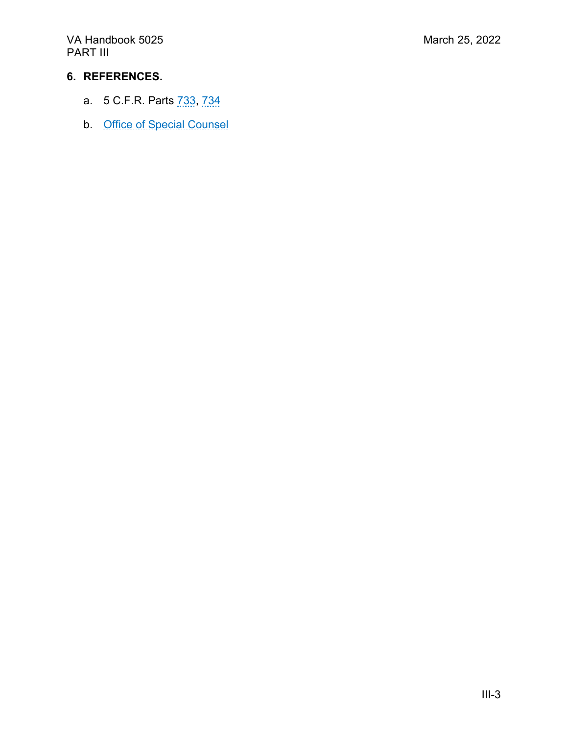VA Handbook 5025 March 25, 2022 PART III

### **6. REFERENCES.**

- a. 5 C.F.R. Parts [733,](https://www.ecfr.gov/cgi-bin/text-idx?SID=e2e55f87a4176ccf8855e8da9170a6b6&mc=true&node=pt5.2.733&rgn=div5) [734](https://www.ecfr.gov/cgi-bin/text-idx?SID=e2e55f87a4176ccf8855e8da9170a6b6&mc=true&node=pt5.2.734&rgn=div5)
- b. [Office of Special Counsel](https://osc.gov/Services/Pages/HatchAct.aspx)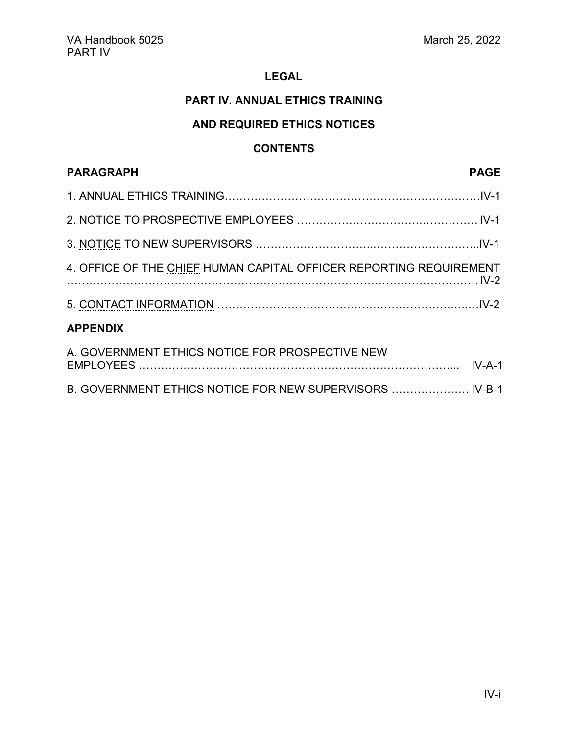### **PART IV. ANNUAL ETHICS TRAINING**

### **AND REQUIRED ETHICS NOTICES**

### **CONTENTS**

# <span id="page-17-0"></span>**PARAGRAPH PAGE** 1. ANNUAL ETHICS TRAINING……………………………………………………………IV-1 2. NOTICE TO PROSPECTIVE EMPLOYEES …………………………….…………… IV-1 3. NOTICE TO NEW SUPERVISORS …………………………..………………………..IV-1 4. OFFICE OF THE CHIEF HUMAN CAPITAL OFFICER REPORTING REQUIREMENT …………………………………………………………………………………………………IV-2 5. CONTACT INFORMATION ……………………………………………………….….…IV-2 **APPENDIX** A. GOVERNMENT ETHICS NOTICE FOR PROSPECTIVE NEW

| <b>EMPLOYEES</b>                                       |  |  |  |  |  |
|--------------------------------------------------------|--|--|--|--|--|
| <b>B. GOVERNMENT ETHICS NOTICE FOR NEW SUPERVISORS</b> |  |  |  |  |  |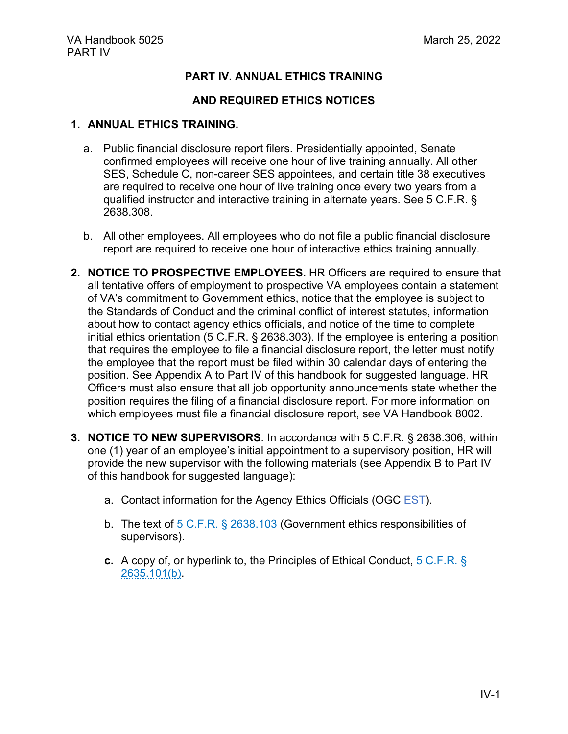### **PART IV. ANNUAL ETHICS TRAINING**

### **AND REQUIRED ETHICS NOTICES**

#### **1. ANNUAL ETHICS TRAINING.**

- a. Public financial disclosure report filers. Presidentially appointed, Senate confirmed employees will receive one hour of live training annually. All other SES, Schedule C, non-career SES appointees, and certain title 38 executives are required to receive one hour of live training once every two years from a qualified instructor and interactive training in alternate years. See [5 C.F.R.](https://www.ecfr.gov/cgi-bin/text-idx?SID=4a192e885aa4979cefe4aba9f6e39274&mc=true&node=pt5.3.2638&rgn=div5#se5.3.2638_1308) § [2638.308.](https://www.ecfr.gov/cgi-bin/text-idx?SID=4a192e885aa4979cefe4aba9f6e39274&mc=true&node=pt5.3.2638&rgn=div5#se5.3.2638_1308)
- b. All other employees. All employees who do not file a public financial disclosure report are required to receive one hour of interactive ethics training annually.
- **2. NOTICE TO PROSPECTIVE EMPLOYEES.** HR Officers are required to ensure that all tentative offers of employment to prospective VA employees contain a statement of VA's commitment to Government ethics, notice that the employee is subject to the Standards of Conduct and the criminal conflict of interest statutes, information about how to contact agency ethics officials, and notice of the time to complete initial ethics orientation [\(5 C.F.R. § 2638.303\)](https://www.ecfr.gov/cgi-bin/text-idx?SID=a1e1673427a10ba2dba82e4de85dc6c4&mc=true&node=pt5.3.2638&rgn=div5#se5.3.2638_1303). If the employee is entering a position that requires the employee to file a financial disclosure report, the letter must notify the employee that the report must be filed within 30 calendar days of entering the position. See Appendix A to Part IV of this handbook for suggested language. HR Officers must also ensure that all job opportunity announcements state whether the position requires the filing of a financial disclosure report. For more information on which employees must file a financial disclosure report, see VA Handbook 8002.
- **3. NOTICE TO NEW SUPERVISORS**. In accordance with [5 C.F.R. § 2638.306,](https://www.ecfr.gov/cgi-bin/text-idx?SID=a1e1673427a10ba2dba82e4de85dc6c4&mc=true&node=pt5.3.2638&rgn=div5#se5.3.2638_1306) within one (1) year of an employee's initial appointment to a supervisory position, HR will provide the new supervisor with the following materials (see Appendix B to Part IV of this handbook for suggested language):
	- a. Contact information for the Agency Ethics Officials (OGC EST).
	- b. The text of  $5 \text{ C.F.R.}$  § 2638.103 (Government ethics responsibilities of supervisors).
	- **c.** A copy of, or hyperlink to, the Principles of Ethical Conduct, [5 C.F.R. §](https://www.ecfr.gov/cgi-bin/text-idx?SID=8a18172d8ae8d668a56100f9a85bf163&mc=true&node=pt5.3.2635&rgn=div5#se5.3.2635_1101)  [2635.101\(b\).](https://www.ecfr.gov/cgi-bin/text-idx?SID=8a18172d8ae8d668a56100f9a85bf163&mc=true&node=pt5.3.2635&rgn=div5#se5.3.2635_1101)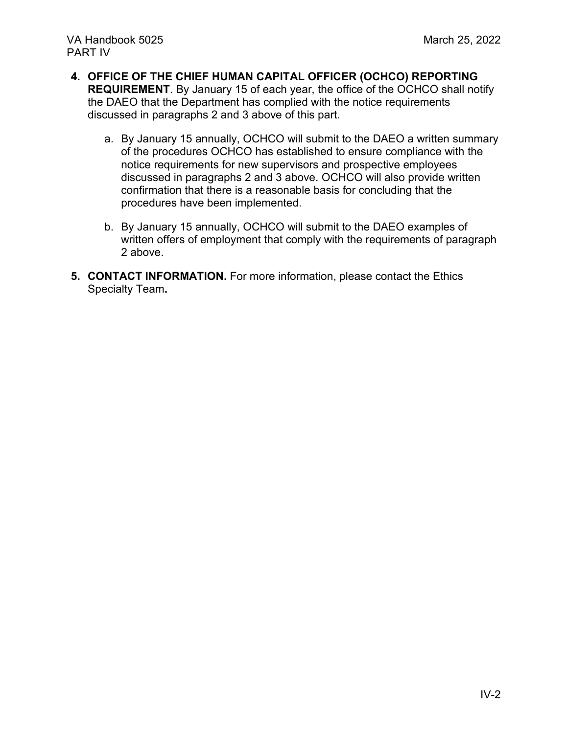- **4. OFFICE OF THE CHIEF HUMAN CAPITAL OFFICER (OCHCO) REPORTING REQUIREMENT**. By January 15 of each year, the office of the OCHCO shall notify the DAEO that the Department has complied with the notice requirements discussed in paragraphs 2 and 3 above of this part.
	- a. By January 15 annually, OCHCO will submit to the DAEO a written summary of the procedures OCHCO has established to ensure compliance with the notice requirements for new supervisors and prospective employees discussed in paragraphs 2 and 3 above. OCHCO will also provide written confirmation that there is a reasonable basis for concluding that the procedures have been implemented.
	- b. By January 15 annually, OCHCO will submit to the DAEO examples of written offers of employment that comply with the requirements of paragraph 2 above.
- **5. CONTACT INFORMATION.** For more information, please contact the [Ethics](http://www.va.gov/OGC/docs/Ethics/VA_Ethics_Officials_Contacts.pdf)  [Specialty Team](http://www.va.gov/OGC/docs/Ethics/VA_Ethics_Officials_Contacts.pdf)**.**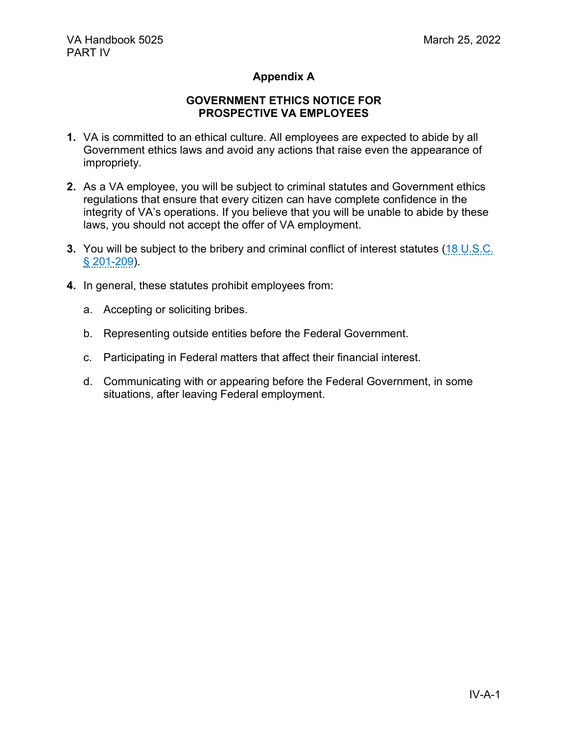### **Appendix A**

#### **GOVERNMENT ETHICS NOTICE FOR PROSPECTIVE VA EMPLOYEES**

- **1.** VA is committed to an ethical culture. All employees are expected to abide by all Government ethics laws and avoid any actions that raise even the appearance of impropriety.
- **2.** As a VA employee, you will be subject to criminal statutes and Government ethics regulations that ensure that every citizen can have complete confidence in the integrity of VA's operations. If you believe that you will be unable to abide by these laws, you should not accept the offer of VA employment.
- **3.** You will be subject to the bribery and criminal conflict of interest statutes (18 U.S.C. [§ 201-209\)](https://www.govinfo.gov/content/pkg/USCODE-2019-title18/html/USCODE-2019-title18-partI-chap11.htm).
- **4.** In general, these statutes prohibit employees from:
	- a. Accepting or soliciting bribes.
	- b. Representing outside entities before the Federal Government.
	- c. Participating in Federal matters that affect their financial interest.
	- d. Communicating with or appearing before the Federal Government, in some situations, after leaving Federal employment.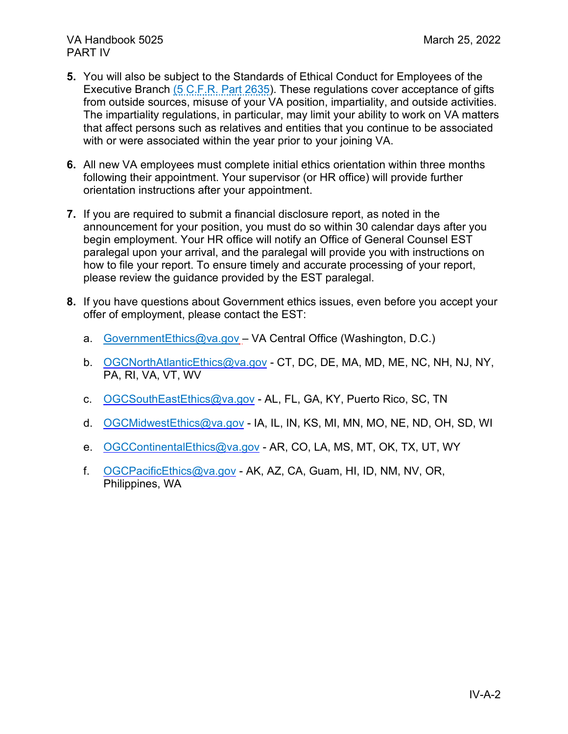- **5.** You will also be subject to the Standards of Ethical Conduct for Employees of the Executive Branch [\(5 C.F.R. Part 2635\)](https://www.ecfr.gov/cgi-bin/text-idx?SID=7c65031af92f4ef19ec3b675a06f73b8&mc=true&node=pt5.3.2635&rgn=div5). These regulations cover acceptance of gifts from outside sources, misuse of your VA position, impartiality, and outside activities. The impartiality regulations, in particular, may limit your ability to work on VA matters that affect persons such as relatives and entities that you continue to be associated with or were associated within the year prior to your joining VA.
- **6.** All new VA employees must complete initial ethics orientation within three months following their appointment. Your supervisor (or HR office) will provide further orientation instructions after your appointment.
- **7.** If you are required to submit a financial disclosure report, as noted in the announcement for your position, you must do so within 30 calendar days after you begin employment. Your HR office will notify an Office of General Counsel EST paralegal upon your arrival, and the paralegal will provide you with instructions on how to file your report. To ensure timely and accurate processing of your report, please review the guidance provided by the EST paralegal.
- **8.** If you have questions about Government ethics issues, even before you accept your offer of employment, please contact the EST:
	- a. [GovernmentEthics@va.gov](mailto:GovernmentEthics@va.gov) VA Central Office (Washington, D.C.)
	- b. [OGCNorthAtlanticEthics@va.gov](mailto:OGCNorthAtlanticEthics@va.gov) CT, DC, DE, MA, MD, ME, NC, NH, NJ, NY, PA, RI, VA, VT, WV
	- c. [OGCSouthEastEthics@va.gov](mailto:OGCSouthEastEthics@va.gov) AL, FL, GA, KY, Puerto Rico, SC, TN
	- d. [OGCMidwestEthics@va.gov](mailto:OGCMidwestEthics@va.gov) IA, IL, IN, KS, MI, MN, MO, NE, ND, OH, SD, WI
	- e. [OGCContinentalEthics@va.gov](mailto:OGCContinentalEthics@va.gov) AR, CO, LA, MS, MT, OK, TX, UT, WY
	- f. [OGCPacificEthics@va.gov](mailto:OGCPacificEthics@va.gov) AK, AZ, CA, Guam, HI, ID, NM, NV, OR, Philippines, WA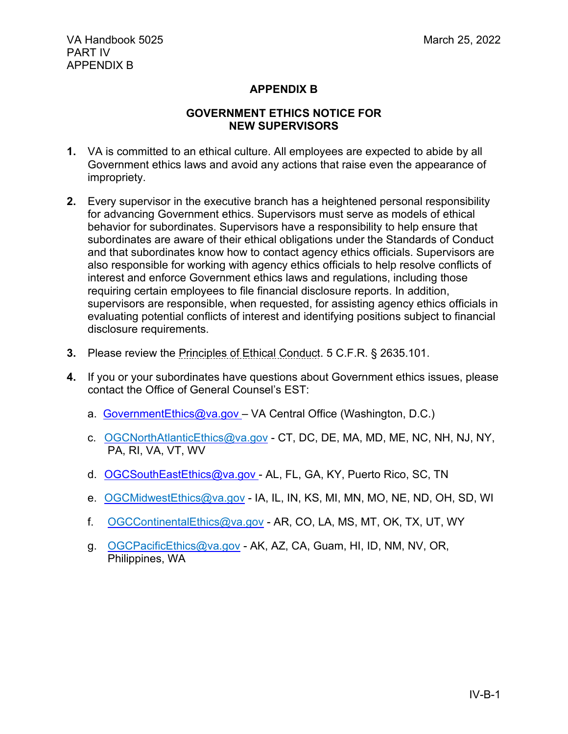### **APPENDIX B**

### **GOVERNMENT ETHICS NOTICE FOR NEW SUPERVISORS**

- **1.** VA is committed to an ethical culture. All employees are expected to abide by all Government ethics laws and avoid any actions that raise even the appearance of impropriety.
- **2.** Every supervisor in the executive branch has a heightened personal responsibility for advancing Government ethics. Supervisors must serve as models of ethical behavior for subordinates. Supervisors have a responsibility to help ensure that subordinates are aware of their ethical obligations under the Standards of Conduct and that subordinates know how to contact agency ethics officials. Supervisors are also responsible for working with agency ethics officials to help resolve conflicts of interest and enforce Government ethics laws and regulations, including those requiring certain employees to file financial disclosure reports. In addition, supervisors are responsible, when requested, for assisting agency ethics officials in evaluating potential conflicts of interest and identifying positions subject to financial disclosure requirements.
- **3.** Please review the [Principles of Ethical Conduct.](https://www.ecfr.gov/cgi-bin/text-idx?SID=8ebeba62d375f8aa8afee9be811f5014&mc=true&node=pt5.3.2635&rgn=div5#se5.3.2635_1101) 5 C.F.R. § 2635.101.
- **4.** If you or your subordinates have questions about Government ethics issues, please contact the Office of General Counsel's EST:
	- a. [GovernmentEthics@va.gov –](mailto:GovernmentEthics@va.gov) VA Central Office (Washington, D.C.)
	- c. [OGCNorthAtlanticEthics@va.gov](mailto:OGCNorthAtlanticEthics@va.gov) CT, DC, DE, MA, MD, ME, NC, NH, NJ, NY, PA, RI, VA, VT, WV
	- d. [OGCSouthEastEthics@va.gov -](mailto:OGCSouthEastEthics@va.gov) AL, FL, GA, KY, Puerto Rico, SC, TN
	- e. [OGCMidwestEthics@va.gov](mailto:OGCMidwestEthics@va.gov) IA, IL, IN, KS, MI, MN, MO, NE, ND, OH, SD, WI
	- f. [OGCContinentalEthics@va.gov](mailto:OGCContinentalEthics@va.gov) AR, CO, LA, MS, MT, OK, TX, UT, WY
	- g. [OGCPacificEthics@va.gov](mailto:OGCPacificEthics@va.gov) AK, AZ, CA, Guam, HI, ID, NM, NV, OR, Philippines, WA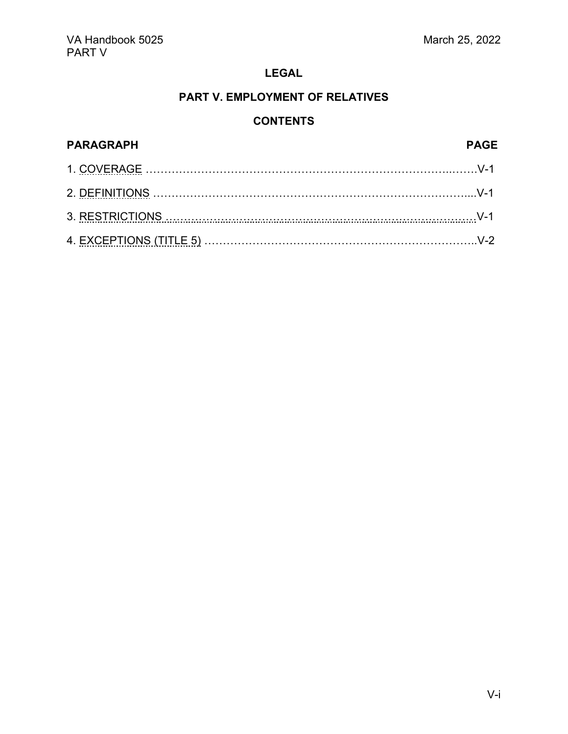# **PART V. EMPLOYMENT OF RELATIVES**

## **CONTENTS**

<span id="page-23-0"></span>

| <b>PARAGRAPH</b> | <b>PAGE</b> |
|------------------|-------------|
|                  |             |
|                  |             |
|                  |             |
|                  |             |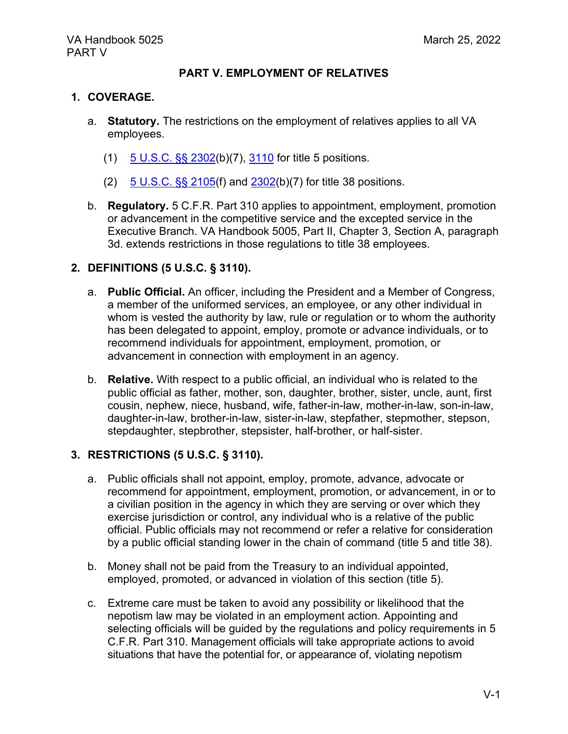#### **PART V. EMPLOYMENT OF RELATIVES**

#### **1. COVERAGE.**

- a. **Statutory.** The restrictions on the employment of relatives applies to all VA employees.
	- (1) [5 U.S.C. §§ 2302\(](https://www.govinfo.gov/content/pkg/USCODE-2013-title5/pdf/USCODE-2013-title5-partIII-subpartA-chap23-sec2302.pdf)b)(7), [3110](https://www.govinfo.gov/content/pkg/USCODE-2010-title5/pdf/USCODE-2010-title5-partIII-subpartB-chap31-subchapI-sec3110.pdf) for title 5 positions.
	- (2)  $5 \text{ U.S.C.}$  §§ 2105(f) and  $2302(b)$ (7) for title 38 positions.
- b. **Regulatory.** 5 C.F.R. Part 310 applies to appointment, employment, promotion or advancement in the competitive service and the excepted service in the Executive Branch. VA Handbook 5005, Part II, Chapter 3, Section A, paragraph 3d. extends restrictions in those regulations to title 38 employees.

### **2. DEFINITIONS (5 U.S.C. § 3110).**

- a. **Public Official.** An officer, including the President and a Member of Congress, a member of the uniformed services, an employee, or any other individual in whom is vested the authority by law, rule or regulation or to whom the authority has been delegated to appoint, employ, promote or advance individuals, or to recommend individuals for appointment, employment, promotion, or advancement in connection with employment in an agency.
- b. **Relative.** With respect to a public official, an individual who is related to the public official as father, mother, son, daughter, brother, sister, uncle, aunt, first cousin, nephew, niece, husband, wife, father-in-law, mother-in-law, son-in-law, daughter-in-law, brother-in-law, sister-in-law, stepfather, stepmother, stepson, stepdaughter, stepbrother, stepsister, half-brother, or half-sister.

#### **3. RESTRICTIONS (5 U.S.C. § 3110).**

- a. Public officials shall not appoint, employ, promote, advance, advocate or recommend for appointment, employment, promotion, or advancement, in or to a civilian position in the agency in which they are serving or over which they exercise jurisdiction or control, any individual who is a relative of the public official. Public officials may not recommend or refer a relative for consideration by a public official standing lower in the chain of command (title 5 and title 38).
- b. Money shall not be paid from the Treasury to an individual appointed, employed, promoted, or advanced in violation of this section (title 5).
- c. Extreme care must be taken to avoid any possibility or likelihood that the nepotism law may be violated in an employment action. Appointing and selecting officials will be guided by the regulations and policy requirements in 5 C.F.R. Part 310. Management officials will take appropriate actions to avoid situations that have the potential for, or appearance of, violating nepotism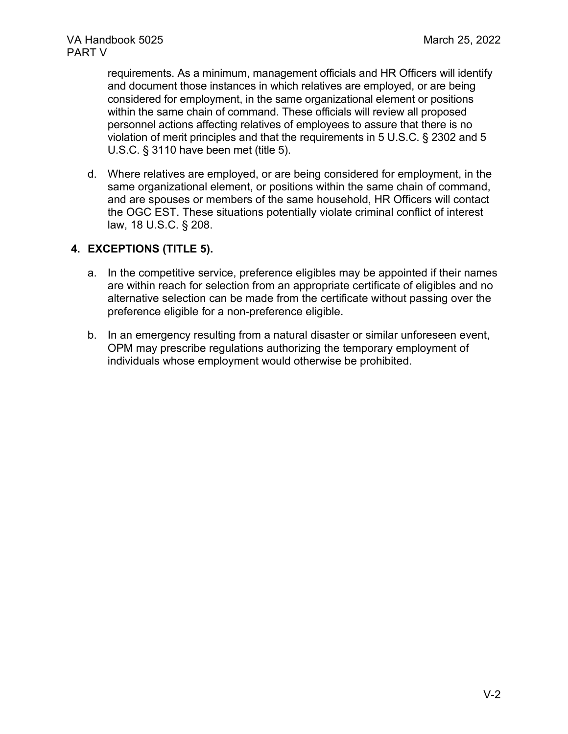requirements. As a minimum, management officials and HR Officers will identify and document those instances in which relatives are employed, or are being considered for employment, in the same organizational element or positions within the same chain of command. These officials will review all proposed personnel actions affecting relatives of employees to assure that there is no violation of merit principles and that the requirements in 5 U.S.C. § 2302 and 5 U.S.C. § 3110 have been met (title 5).

d. Where relatives are employed, or are being considered for employment, in the same organizational element, or positions within the same chain of command, and are spouses or members of the same household, HR Officers will contact the OGC EST. These situations potentially violate criminal conflict of interest law, 18 U.S.C. § 208.

### **4. EXCEPTIONS (TITLE 5).**

- a. In the competitive service, preference eligibles may be appointed if their names are within reach for selection from an appropriate certificate of eligibles and no alternative selection can be made from the certificate without passing over the preference eligible for a non-preference eligible.
- b. In an emergency resulting from a natural disaster or similar unforeseen event, OPM may prescribe regulations authorizing the temporary employment of individuals whose employment would otherwise be prohibited.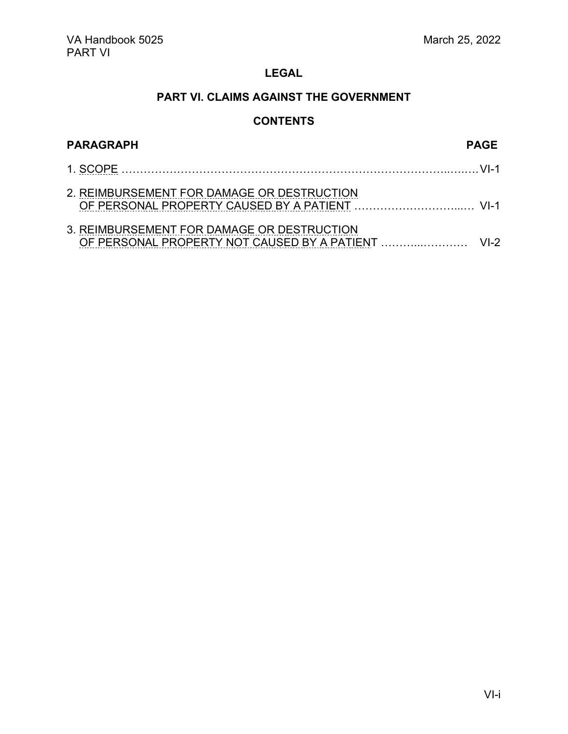### **PART VI. CLAIMS AGAINST THE GOVERNMENT**

## **CONTENTS**

<span id="page-26-0"></span>

| <b>PARAGRAPH</b>                           | <b>PAGE</b> |
|--------------------------------------------|-------------|
|                                            |             |
| 2. REIMBURSEMENT FOR DAMAGE OR DESTRUCTION |             |
| 3. REIMBURSEMENT FOR DAMAGE OR DESTRUCTION |             |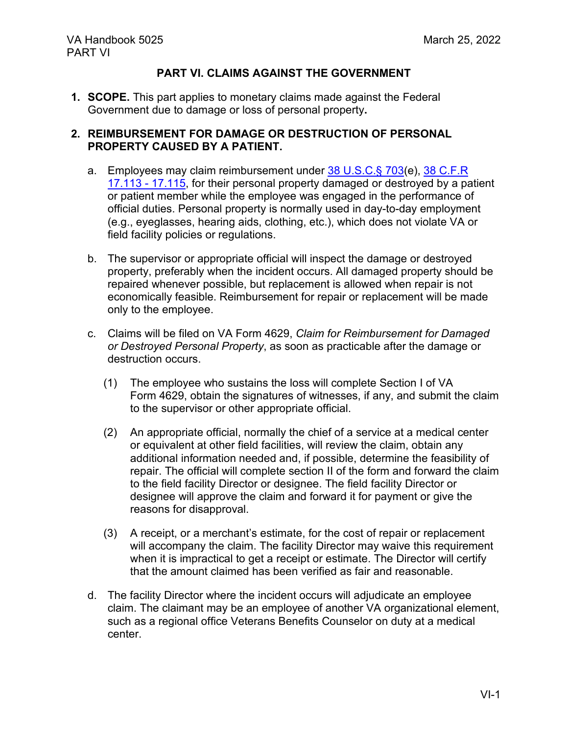### **PART VI. CLAIMS AGAINST THE GOVERNMENT**

**1. SCOPE.** This part applies to monetary claims made against the Federal Government due to damage or loss of personal property**.**

### **2. REIMBURSEMENT FOR DAMAGE OR DESTRUCTION OF PERSONAL PROPERTY CAUSED BY A PATIENT.**

- a. Employees may claim reimbursement under [38 U.S.C.§ 703\(](https://www.govinfo.gov/content/pkg/USCODE-1999-title38/pdf/USCODE-1999-title38-partI-chap7-sec703.pdf)e), [38 C.F.R](https://www.ecfr.gov/current/title-38/chapter-I/part-17/subject-group-ECFR83df7a07cfb1155#subject-group-ECFR83df7a07cfb1155)  [17.113 -](https://www.ecfr.gov/current/title-38/chapter-I/part-17/subject-group-ECFR83df7a07cfb1155#subject-group-ECFR83df7a07cfb1155) 17.115, for their personal property damaged or destroyed by a patient or patient member while the employee was engaged in the performance of official duties. Personal property is normally used in day-to-day employment (e.g., eyeglasses, hearing aids, clothing, etc.), which does not violate VA or field facility policies or regulations.
- b. The supervisor or appropriate official will inspect the damage or destroyed property, preferably when the incident occurs. All damaged property should be repaired whenever possible, but replacement is allowed when repair is not economically feasible. Reimbursement for repair or replacement will be made only to the employee.
- c. Claims will be filed on VA Form 4629, *Claim for Reimbursement for Damaged or Destroyed Personal Property*, as soon as practicable after the damage or destruction occurs.
	- (1) The employee who sustains the loss will complete Section I of VA Form 4629, obtain the signatures of witnesses, if any, and submit the claim to the supervisor or other appropriate official.
	- (2) An appropriate official, normally the chief of a service at a medical center or equivalent at other field facilities, will review the claim, obtain any additional information needed and, if possible, determine the feasibility of repair. The official will complete section II of the form and forward the claim to the field facility Director or designee. The field facility Director or designee will approve the claim and forward it for payment or give the reasons for disapproval.
	- (3) A receipt, or a merchant's estimate, for the cost of repair or replacement will accompany the claim. The facility Director may waive this requirement when it is impractical to get a receipt or estimate. The Director will certify that the amount claimed has been verified as fair and reasonable.
- d. The facility Director where the incident occurs will adjudicate an employee claim. The claimant may be an employee of another VA organizational element, such as a regional office Veterans Benefits Counselor on duty at a medical center.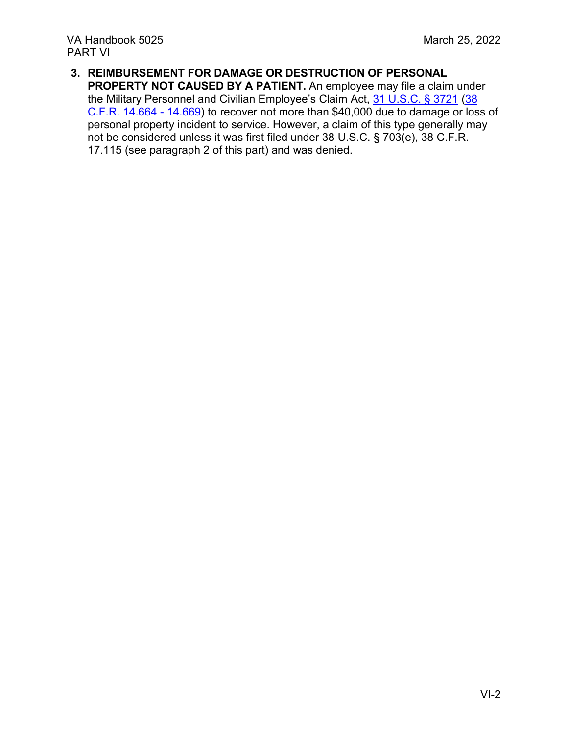**3. REIMBURSEMENT FOR DAMAGE OR DESTRUCTION OF PERSONAL PROPERTY NOT CAUSED BY A PATIENT.** An employee may file a claim under the Military Personnel and Civilian Employee's Claim Act, [31 U.S.C. § 3721](https://www.govinfo.gov/content/pkg/USCODE-2010-title31/pdf/USCODE-2010-title31-subtitleIII-chap37-subchapIII-sec3721.pdf) [\(38](https://www.ecfr.gov/current/title-38/chapter-I/part-14/subject-group-ECFRaa6d0714eaaba77#subject-group-ECFRaa6d0714eaaba77)  [C.F.R. 14.664 -](https://www.ecfr.gov/current/title-38/chapter-I/part-14/subject-group-ECFRaa6d0714eaaba77#subject-group-ECFRaa6d0714eaaba77) 14.669) to recover not more than \$40,000 due to damage or loss of personal property incident to service. However, a claim of this type generally may not be considered unless it was first filed under 38 U.S.C. § 703(e), 38 C.F.R. 17.115 (see paragraph 2 of this part) and was denied.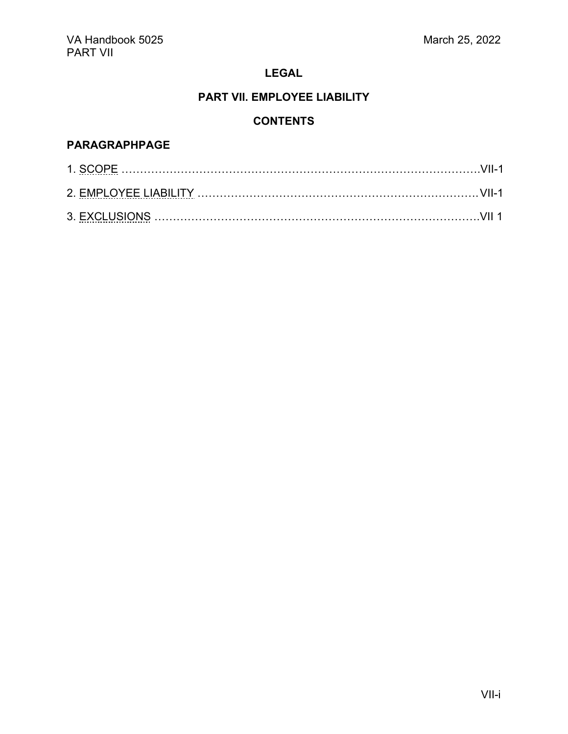### **PART VII. EMPLOYEE LIABILITY**

### **CONTENTS**

### <span id="page-29-0"></span>**PARAGRAPHPAGE**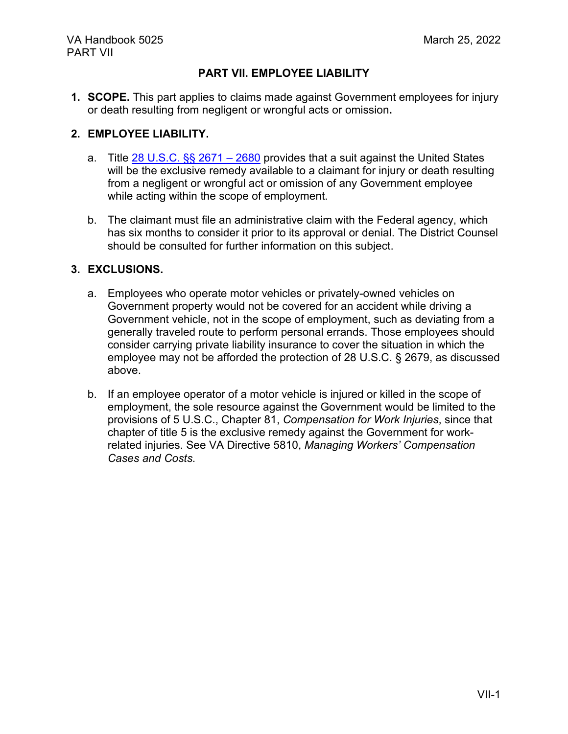### **PART VII. EMPLOYEE LIABILITY**

**1. SCOPE.** This part applies to claims made against Government employees for injury or death resulting from negligent or wrongful acts or omission**.**

### **2. EMPLOYEE LIABILITY.**

- a. Title 28 U.S.C.  $\S$  2671 2680 provides that a suit against the United States will be the exclusive remedy available to a claimant for injury or death resulting from a negligent or wrongful act or omission of any Government employee while acting within the scope of employment.
- b. The claimant must file an administrative claim with the Federal agency, which has six months to consider it prior to its approval or denial. The District Counsel should be consulted for further information on this subject.

### **3. EXCLUSIONS.**

- a. Employees who operate motor vehicles or privately-owned vehicles on Government property would not be covered for an accident while driving a Government vehicle, not in the scope of employment, such as deviating from a generally traveled route to perform personal errands. Those employees should consider carrying private liability insurance to cover the situation in which the employee may not be afforded the protection of 28 U.S.C. § 2679, as discussed above.
- b. If an employee operator of a motor vehicle is injured or killed in the scope of employment, the sole resource against the Government would be limited to the provisions of 5 U.S.C., Chapter 81, *Compensation for Work Injuries*, since that chapter of title 5 is the exclusive remedy against the Government for workrelated injuries. See VA Directive 5810, *Managing Workers' Compensation Cases and Costs*.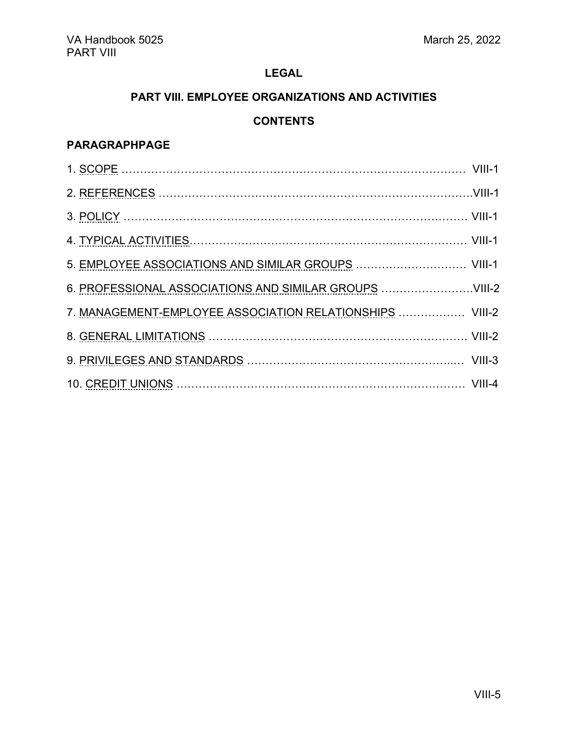### **PART VIII. EMPLOYEE ORGANIZATIONS AND ACTIVITIES**

### **CONTENTS**

## <span id="page-31-0"></span>**PARAGRAPHPAGE**

| 7. MANAGEMENT-EMPLOYEE ASSOCIATION RELATIONSHIPS  VIII-2 |  |
|----------------------------------------------------------|--|
|                                                          |  |
|                                                          |  |
|                                                          |  |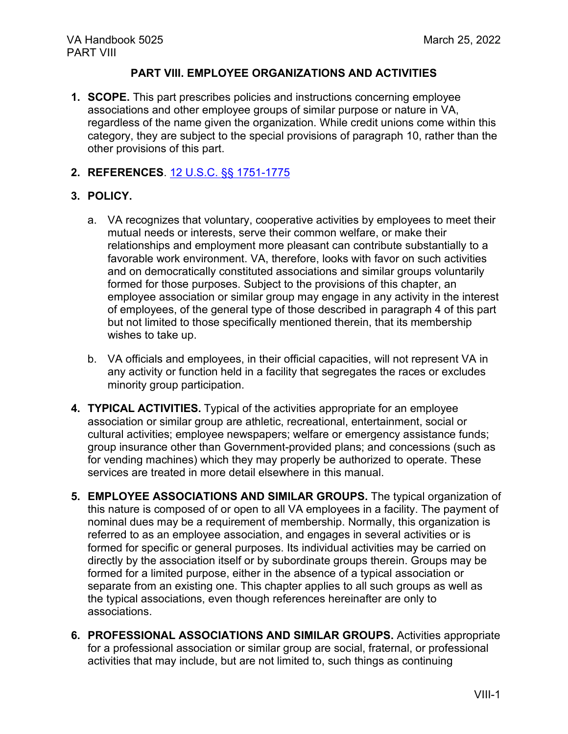#### **PART VIII. EMPLOYEE ORGANIZATIONS AND ACTIVITIES**

**1. SCOPE.** This part prescribes policies and instructions concerning employee associations and other employee groups of similar purpose or nature in VA, regardless of the name given the organization. While credit unions come within this category, they are subject to the special provisions of paragraph 10, rather than the other provisions of this part.

### **2. REFERENCES**. [12 U.S.C. §§ 1751-1775](https://www.govinfo.gov/content/pkg/USCODE-2014-title12/pdf/USCODE-2014-title12-chap14.pdf)

### **3. POLICY.**

- a. VA recognizes that voluntary, cooperative activities by employees to meet their mutual needs or interests, serve their common welfare, or make their relationships and employment more pleasant can contribute substantially to a favorable work environment. VA, therefore, looks with favor on such activities and on democratically constituted associations and similar groups voluntarily formed for those purposes. Subject to the provisions of this chapter, an employee association or similar group may engage in any activity in the interest of employees, of the general type of those described in paragraph 4 of this part but not limited to those specifically mentioned therein, that its membership wishes to take up.
- b. VA officials and employees, in their official capacities, will not represent VA in any activity or function held in a facility that segregates the races or excludes minority group participation.
- **4. TYPICAL ACTIVITIES.** Typical of the activities appropriate for an employee association or similar group are athletic, recreational, entertainment, social or cultural activities; employee newspapers; welfare or emergency assistance funds; group insurance other than Government-provided plans; and concessions (such as for vending machines) which they may properly be authorized to operate. These services are treated in more detail elsewhere in this manual.
- **5. EMPLOYEE ASSOCIATIONS AND SIMILAR GROUPS.** The typical organization of this nature is composed of or open to all VA employees in a facility. The payment of nominal dues may be a requirement of membership. Normally, this organization is referred to as an employee association, and engages in several activities or is formed for specific or general purposes. Its individual activities may be carried on directly by the association itself or by subordinate groups therein. Groups may be formed for a limited purpose, either in the absence of a typical association or separate from an existing one. This chapter applies to all such groups as well as the typical associations, even though references hereinafter are only to associations.
- **6. PROFESSIONAL ASSOCIATIONS AND SIMILAR GROUPS.** Activities appropriate for a professional association or similar group are social, fraternal, or professional activities that may include, but are not limited to, such things as continuing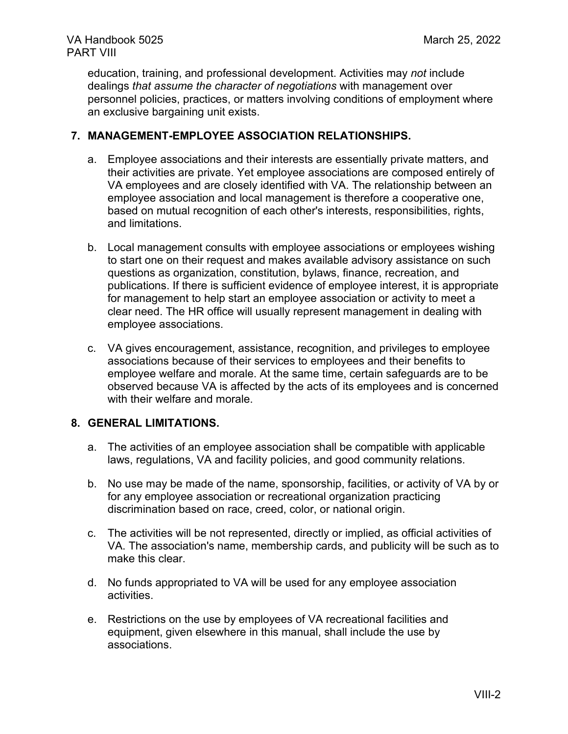education, training, and professional development. Activities may *not* include dealings *that assume the character of negotiations* with management over personnel policies, practices, or matters involving conditions of employment where an exclusive bargaining unit exists.

#### **7. MANAGEMENT-EMPLOYEE ASSOCIATION RELATIONSHIPS.**

- a. Employee associations and their interests are essentially private matters, and their activities are private. Yet employee associations are composed entirely of VA employees and are closely identified with VA. The relationship between an employee association and local management is therefore a cooperative one, based on mutual recognition of each other's interests, responsibilities, rights, and limitations.
- b. Local management consults with employee associations or employees wishing to start one on their request and makes available advisory assistance on such questions as organization, constitution, bylaws, finance, recreation, and publications. If there is sufficient evidence of employee interest, it is appropriate for management to help start an employee association or activity to meet a clear need. The HR office will usually represent management in dealing with employee associations.
- c. VA gives encouragement, assistance, recognition, and privileges to employee associations because of their services to employees and their benefits to employee welfare and morale. At the same time, certain safeguards are to be observed because VA is affected by the acts of its employees and is concerned with their welfare and morale.

#### **8. GENERAL LIMITATIONS.**

- a. The activities of an employee association shall be compatible with applicable laws, regulations, VA and facility policies, and good community relations.
- b. No use may be made of the name, sponsorship, facilities, or activity of VA by or for any employee association or recreational organization practicing discrimination based on race, creed, color, or national origin.
- c. The activities will be not represented, directly or implied, as official activities of VA. The association's name, membership cards, and publicity will be such as to make this clear.
- d. No funds appropriated to VA will be used for any employee association activities.
- e. Restrictions on the use by employees of VA recreational facilities and equipment, given elsewhere in this manual, shall include the use by associations.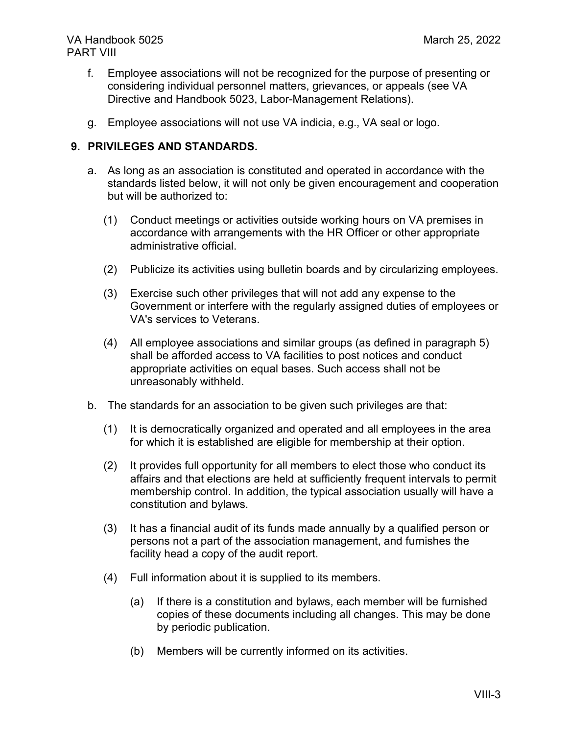- f. Employee associations will not be recognized for the purpose of presenting or considering individual personnel matters, grievances, or appeals (see VA Directive and Handbook 5023, Labor-Management Relations).
- g. Employee associations will not use VA indicia, e.g., VA seal or logo.

#### **9. PRIVILEGES AND STANDARDS.**

- a. As long as an association is constituted and operated in accordance with the standards listed below, it will not only be given encouragement and cooperation but will be authorized to:
	- (1) Conduct meetings or activities outside working hours on VA premises in accordance with arrangements with the HR Officer or other appropriate administrative official.
	- (2) Publicize its activities using bulletin boards and by circularizing employees.
	- (3) Exercise such other privileges that will not add any expense to the Government or interfere with the regularly assigned duties of employees or VA's services to Veterans.
	- (4) All employee associations and similar groups (as defined in paragraph 5) shall be afforded access to VA facilities to post notices and conduct appropriate activities on equal bases. Such access shall not be unreasonably withheld.
- b. The standards for an association to be given such privileges are that:
	- (1) It is democratically organized and operated and all employees in the area for which it is established are eligible for membership at their option.
	- (2) It provides full opportunity for all members to elect those who conduct its affairs and that elections are held at sufficiently frequent intervals to permit membership control. In addition, the typical association usually will have a constitution and bylaws.
	- (3) It has a financial audit of its funds made annually by a qualified person or persons not a part of the association management, and furnishes the facility head a copy of the audit report.
	- (4) Full information about it is supplied to its members.
		- (a) If there is a constitution and bylaws, each member will be furnished copies of these documents including all changes. This may be done by periodic publication.
		- (b) Members will be currently informed on its activities.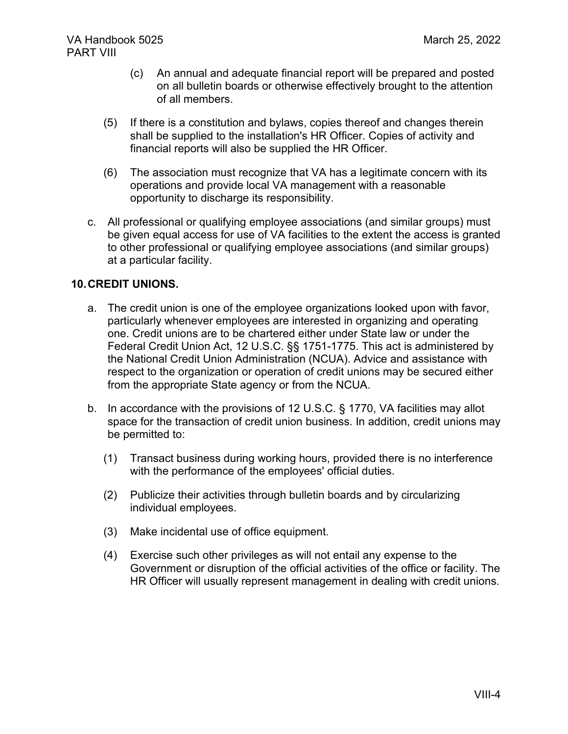- (c) An annual and adequate financial report will be prepared and posted on all bulletin boards or otherwise effectively brought to the attention of all members.
- (5) If there is a constitution and bylaws, copies thereof and changes therein shall be supplied to the installation's HR Officer. Copies of activity and financial reports will also be supplied the HR Officer.
- (6) The association must recognize that VA has a legitimate concern with its operations and provide local VA management with a reasonable opportunity to discharge its responsibility.
- c. All professional or qualifying employee associations (and similar groups) must be given equal access for use of VA facilities to the extent the access is granted to other professional or qualifying employee associations (and similar groups) at a particular facility.

### **10.CREDIT UNIONS.**

- a. The credit union is one of the employee organizations looked upon with favor, particularly whenever employees are interested in organizing and operating one. Credit unions are to be chartered either under State law or under the Federal Credit Union Act, 12 U.S.C. §§ 1751-1775. This act is administered by the National Credit Union Administration (NCUA). Advice and assistance with respect to the organization or operation of credit unions may be secured either from the appropriate State agency or from the NCUA.
- b. In accordance with the provisions of 12 U.S.C. § 1770, VA facilities may allot space for the transaction of credit union business. In addition, credit unions may be permitted to:
	- (1) Transact business during working hours, provided there is no interference with the performance of the employees' official duties.
	- (2) Publicize their activities through bulletin boards and by circularizing individual employees.
	- (3) Make incidental use of office equipment.
	- (4) Exercise such other privileges as will not entail any expense to the Government or disruption of the official activities of the office or facility. The HR Officer will usually represent management in dealing with credit unions.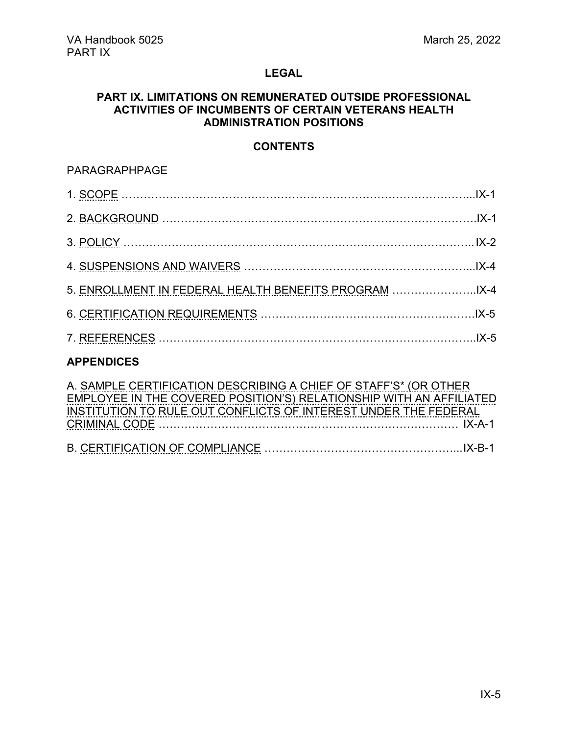#### <span id="page-36-0"></span>**PART IX. LIMITATIONS ON REMUNERATED OUTSIDE PROFESSIONAL ACTIVITIES OF INCUMBENTS OF CERTAIN VETERANS HEALTH ADMINISTRATION POSITIONS**

### **CONTENTS**

### PARAGRAPHPAGE

| 5. ENROLLMENT IN FEDERAL HEALTH BENEFITS PROGRAM |  |
|--------------------------------------------------|--|
|                                                  |  |
|                                                  |  |
|                                                  |  |

### **APPENDICES**

| A. SAMPLE CERTIFICATION DESCRIBING A CHIEF OF STAFF'S* (OR OTHER    |  |
|---------------------------------------------------------------------|--|
| EMPLOYEE IN THE COVERED POSITION'S) RELATIONSHIP WITH AN AFFILIATED |  |
| INSTITUTION TO RULE OUT CONFLICTS OF INTEREST UNDER THE FEDERAL     |  |
|                                                                     |  |
|                                                                     |  |
|                                                                     |  |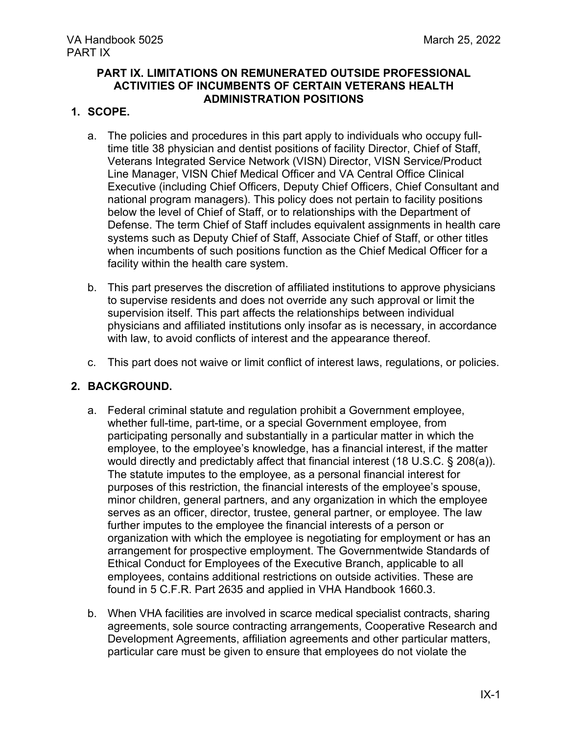#### **PART IX. LIMITATIONS ON REMUNERATED OUTSIDE PROFESSIONAL ACTIVITIES OF INCUMBENTS OF CERTAIN VETERANS HEALTH ADMINISTRATION POSITIONS**

#### **1. SCOPE.**

- a. The policies and procedures in this part apply to individuals who occupy fulltime title 38 physician and dentist positions of facility Director, Chief of Staff, Veterans Integrated Service Network (VISN) Director, VISN Service/Product Line Manager, VISN Chief Medical Officer and VA Central Office Clinical Executive (including Chief Officers, Deputy Chief Officers, Chief Consultant and national program managers). This policy does not pertain to facility positions below the level of Chief of Staff, or to relationships with the Department of Defense. The term Chief of Staff includes equivalent assignments in health care systems such as Deputy Chief of Staff, Associate Chief of Staff, or other titles when incumbents of such positions function as the Chief Medical Officer for a facility within the health care system.
- b. This part preserves the discretion of affiliated institutions to approve physicians to supervise residents and does not override any such approval or limit the supervision itself. This part affects the relationships between individual physicians and affiliated institutions only insofar as is necessary, in accordance with law, to avoid conflicts of interest and the appearance thereof.
- c. This part does not waive or limit conflict of interest laws, regulations, or policies.

#### **2. BACKGROUND.**

- a. Federal criminal statute and regulation prohibit a Government employee, whether full-time, part-time, or a special Government employee, from participating personally and substantially in a particular matter in which the employee, to the employee's knowledge, has a financial interest, if the matter would directly and predictably affect that financial interest (18 U.S.C. § 208(a)). The statute imputes to the employee, as a personal financial interest for purposes of this restriction, the financial interests of the employee's spouse, minor children, general partners, and any organization in which the employee serves as an officer, director, trustee, general partner, or employee. The law further imputes to the employee the financial interests of a person or organization with which the employee is negotiating for employment or has an arrangement for prospective employment. The Governmentwide Standards of Ethical Conduct for Employees of the Executive Branch, applicable to all employees, contains additional restrictions on outside activities. These are found in 5 C.F.R. Part 2635 and applied in VHA Handbook 1660.3.
- b. When VHA facilities are involved in scarce medical specialist contracts, sharing agreements, sole source contracting arrangements, Cooperative Research and Development Agreements, affiliation agreements and other particular matters, particular care must be given to ensure that employees do not violate the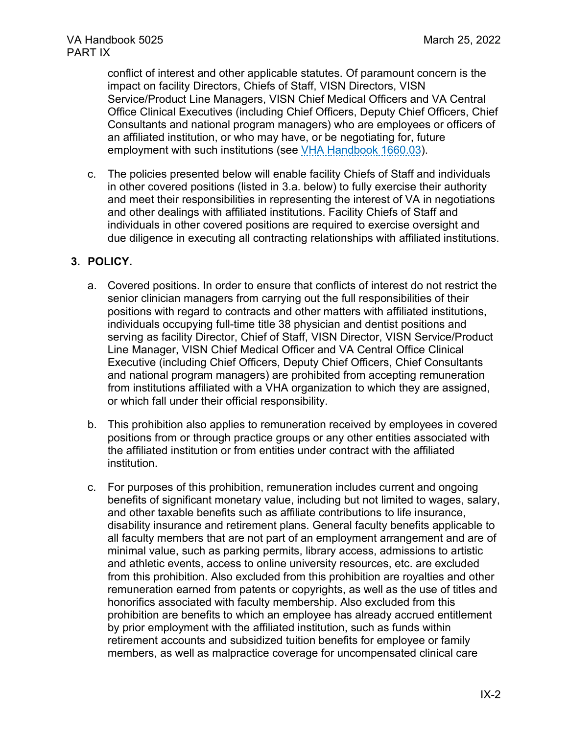conflict of interest and other applicable statutes. Of paramount concern is the impact on facility Directors, Chiefs of Staff, VISN Directors, VISN Service/Product Line Managers, VISN Chief Medical Officers and VA Central Office Clinical Executives (including Chief Officers, Deputy Chief Officers, Chief Consultants and national program managers) who are employees or officers of an affiliated institution, or who may have, or be negotiating for, future employment with such institutions (see [VHA Handbook 1660.03\)](https://vaww.va.gov/vhapublications/ViewPublication.asp?pub_ID=3152).

c. The policies presented below will enable facility Chiefs of Staff and individuals in other covered positions (listed in 3.a. below) to fully exercise their authority and meet their responsibilities in representing the interest of VA in negotiations and other dealings with affiliated institutions. Facility Chiefs of Staff and individuals in other covered positions are required to exercise oversight and due diligence in executing all contracting relationships with affiliated institutions.

### **3. POLICY.**

- a. Covered positions. In order to ensure that conflicts of interest do not restrict the senior clinician managers from carrying out the full responsibilities of their positions with regard to contracts and other matters with affiliated institutions, individuals occupying full-time title 38 physician and dentist positions and serving as facility Director, Chief of Staff, VISN Director, VISN Service/Product Line Manager, VISN Chief Medical Officer and VA Central Office Clinical Executive (including Chief Officers, Deputy Chief Officers, Chief Consultants and national program managers) are prohibited from accepting remuneration from institutions affiliated with a VHA organization to which they are assigned, or which fall under their official responsibility.
- b. This prohibition also applies to remuneration received by employees in covered positions from or through practice groups or any other entities associated with the affiliated institution or from entities under contract with the affiliated institution.
- c. For purposes of this prohibition, remuneration includes current and ongoing benefits of significant monetary value, including but not limited to wages, salary, and other taxable benefits such as affiliate contributions to life insurance, disability insurance and retirement plans. General faculty benefits applicable to all faculty members that are not part of an employment arrangement and are of minimal value, such as parking permits, library access, admissions to artistic and athletic events, access to online university resources, etc. are excluded from this prohibition. Also excluded from this prohibition are royalties and other remuneration earned from patents or copyrights, as well as the use of titles and honorifics associated with faculty membership. Also excluded from this prohibition are benefits to which an employee has already accrued entitlement by prior employment with the affiliated institution, such as funds within retirement accounts and subsidized tuition benefits for employee or family members, as well as malpractice coverage for uncompensated clinical care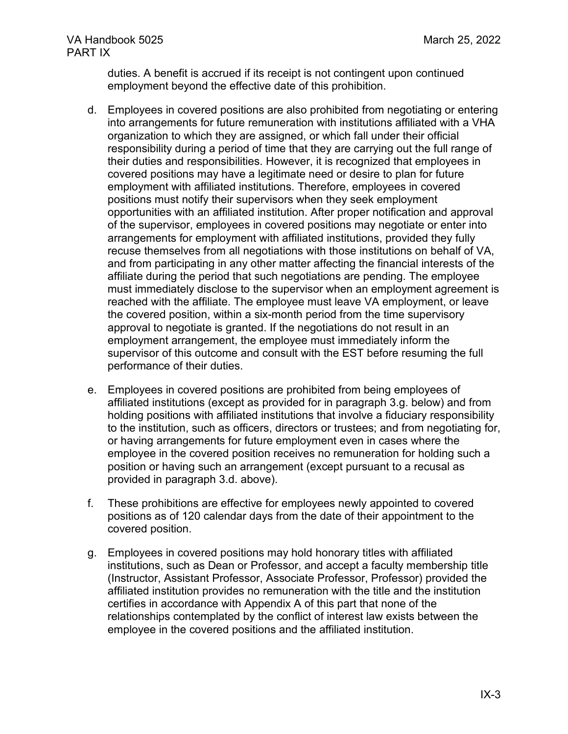duties. A benefit is accrued if its receipt is not contingent upon continued employment beyond the effective date of this prohibition.

- d. Employees in covered positions are also prohibited from negotiating or entering into arrangements for future remuneration with institutions affiliated with a VHA organization to which they are assigned, or which fall under their official responsibility during a period of time that they are carrying out the full range of their duties and responsibilities. However, it is recognized that employees in covered positions may have a legitimate need or desire to plan for future employment with affiliated institutions. Therefore, employees in covered positions must notify their supervisors when they seek employment opportunities with an affiliated institution. After proper notification and approval of the supervisor, employees in covered positions may negotiate or enter into arrangements for employment with affiliated institutions, provided they fully recuse themselves from all negotiations with those institutions on behalf of VA, and from participating in any other matter affecting the financial interests of the affiliate during the period that such negotiations are pending. The employee must immediately disclose to the supervisor when an employment agreement is reached with the affiliate. The employee must leave VA employment, or leave the covered position, within a six-month period from the time supervisory approval to negotiate is granted. If the negotiations do not result in an employment arrangement, the employee must immediately inform the supervisor of this outcome and consult with the EST before resuming the full performance of their duties.
- e. Employees in covered positions are prohibited from being employees of affiliated institutions (except as provided for in paragraph 3.g. below) and from holding positions with affiliated institutions that involve a fiduciary responsibility to the institution, such as officers, directors or trustees; and from negotiating for, or having arrangements for future employment even in cases where the employee in the covered position receives no remuneration for holding such a position or having such an arrangement (except pursuant to a recusal as provided in paragraph 3.d. above).
- f. These prohibitions are effective for employees newly appointed to covered positions as of 120 calendar days from the date of their appointment to the covered position.
- g. Employees in covered positions may hold honorary titles with affiliated institutions, such as Dean or Professor, and accept a faculty membership title (Instructor, Assistant Professor, Associate Professor, Professor) provided the affiliated institution provides no remuneration with the title and the institution certifies in accordance with Appendix A of this part that none of the relationships contemplated by the conflict of interest law exists between the employee in the covered positions and the affiliated institution.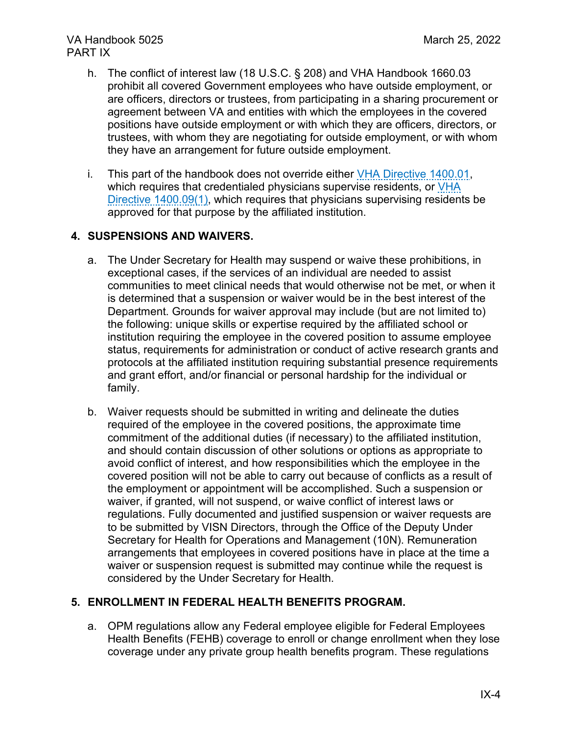### VA Handbook 5025 March 25, 2022 PART IX

- h. The conflict of interest law (18 U.S.C. § 208) and VHA Handbook 1660.03 prohibit all covered Government employees who have outside employment, or are officers, directors or trustees, from participating in a sharing procurement or agreement between VA and entities with which the employees in the covered positions have outside employment or with which they are officers, directors, or trustees, with whom they are negotiating for outside employment, or with whom they have an arrangement for future outside employment.
- i. This part of the handbook does not override either [VHA Directive 1400.01,](https://vaww.va.gov/vhapublications/ViewPublication.asp?pub_ID=8579) which requires that credentialed physicians supervise residents, or VHA [Directive 1400.09\(1\),](https://vaww.va.gov/vhapublications/ViewPublication.asp?pub_ID=3239) which requires that physicians supervising residents be approved for that purpose by the affiliated institution.

### **4. SUSPENSIONS AND WAIVERS.**

- a. The Under Secretary for Health may suspend or waive these prohibitions, in exceptional cases, if the services of an individual are needed to assist communities to meet clinical needs that would otherwise not be met, or when it is determined that a suspension or waiver would be in the best interest of the Department. Grounds for waiver approval may include (but are not limited to) the following: unique skills or expertise required by the affiliated school or institution requiring the employee in the covered position to assume employee status, requirements for administration or conduct of active research grants and protocols at the affiliated institution requiring substantial presence requirements and grant effort, and/or financial or personal hardship for the individual or family.
- b. Waiver requests should be submitted in writing and delineate the duties required of the employee in the covered positions, the approximate time commitment of the additional duties (if necessary) to the affiliated institution, and should contain discussion of other solutions or options as appropriate to avoid conflict of interest, and how responsibilities which the employee in the covered position will not be able to carry out because of conflicts as a result of the employment or appointment will be accomplished. Such a suspension or waiver, if granted, will not suspend, or waive conflict of interest laws or regulations. Fully documented and justified suspension or waiver requests are to be submitted by VISN Directors, through the Office of the Deputy Under Secretary for Health for Operations and Management (10N). Remuneration arrangements that employees in covered positions have in place at the time a waiver or suspension request is submitted may continue while the request is considered by the Under Secretary for Health.

#### **5. ENROLLMENT IN FEDERAL HEALTH BENEFITS PROGRAM.**

a. OPM regulations allow any Federal employee eligible for Federal Employees Health Benefits (FEHB) coverage to enroll or change enrollment when they lose coverage under any private group health benefits program. These regulations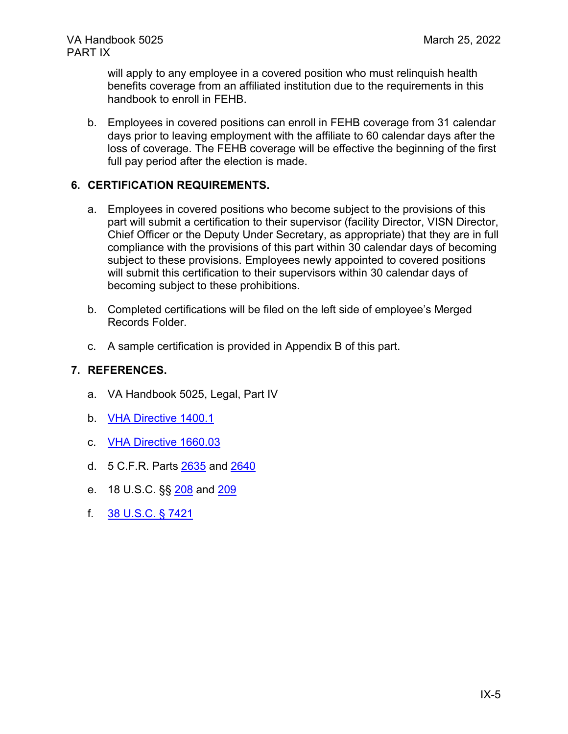will apply to any employee in a covered position who must relinquish health benefits coverage from an affiliated institution due to the requirements in this handbook to enroll in FEHB.

b. Employees in covered positions can enroll in FEHB coverage from 31 calendar days prior to leaving employment with the affiliate to 60 calendar days after the loss of coverage. The FEHB coverage will be effective the beginning of the first full pay period after the election is made.

### **6. CERTIFICATION REQUIREMENTS.**

- a. Employees in covered positions who become subject to the provisions of this part will submit a certification to their supervisor (facility Director, VISN Director, Chief Officer or the Deputy Under Secretary, as appropriate) that they are in full compliance with the provisions of this part within 30 calendar days of becoming subject to these provisions. Employees newly appointed to covered positions will submit this certification to their supervisors within 30 calendar days of becoming subject to these prohibitions.
- b. Completed certifications will be filed on the left side of employee's Merged Records Folder.
- c. A sample certification is provided in Appendix B of this part.

#### **7. REFERENCES.**

- a. VA Handbook 5025, Legal, Part IV
- b. [VHA Directive 1400.1](https://vaww.va.gov/vhapublications/ViewPublication.asp?pub_ID=8579)
- c. [VHA Directive 1660.03](https://vaww.va.gov/vhapublications/ViewPublication.asp?pub_ID=9443)
- d. 5 C.F.R. Parts [2635](https://www.ecfr.gov/current/title-5/chapter-XVI/subchapter-B/part-2635?toc=1) and [2640](https://www.ecfr.gov/current/title-5/chapter-XVI/subchapter-B/part-2640?toc=1)
- e. 18 U.S.C. §§ [208](https://www.govinfo.gov/content/pkg/USCODE-2010-title18/pdf/USCODE-2010-title18-partI-chap11-sec208.pdf) and [209](https://www.govinfo.gov/content/pkg/USCODE-2010-title18/pdf/USCODE-2010-title18-partI-chap11-sec209.pdf)
- f. [38 U.S.C. § 7421](https://www.govinfo.gov/content/pkg/USCODE-2007-title38/pdf/USCODE-2007-title38-partV-chap74-subchapII-sec7421.pdf)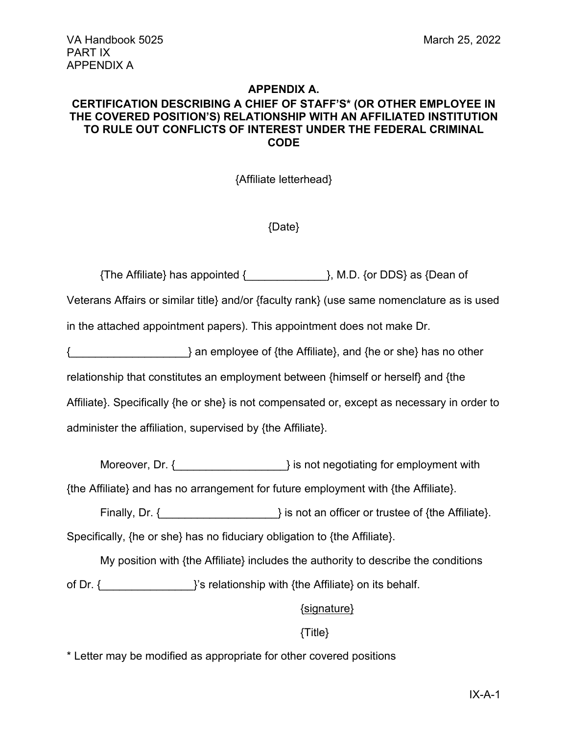#### **APPENDIX A.**

### **CERTIFICATION DESCRIBING A CHIEF OF STAFF'S\* (OR OTHER EMPLOYEE IN THE COVERED POSITION'S) RELATIONSHIP WITH AN AFFILIATED INSTITUTION TO RULE OUT CONFLICTS OF INTEREST UNDER THE FEDERAL CRIMINAL CODE**

{Affiliate letterhead}

{Date}

{The Affiliate} has appointed {\_\_\_\_\_\_\_\_\_\_\_\_\_}, M.D. {or DDS} as {Dean of Veterans Affairs or similar title} and/or {faculty rank} (use same nomenclature as is used in the attached appointment papers). This appointment does not make Dr. } an employee of {the Affiliate}, and {he or she} has no other relationship that constitutes an employment between {himself or herself} and {the Affiliate}. Specifically {he or she} is not compensated or, except as necessary in order to administer the affiliation, supervised by {the Affiliate}.

Moreover, Dr. {  $\{$   $\}$  is not negotiating for employment with {the Affiliate} and has no arrangement for future employment with {the Affiliate}.

Finally, Dr. {  $\{$   $\}$  is not an officer or trustee of {the Affiliate}. Specifically, {he or she} has no fiduciary obligation to {the Affiliate}.

My position with {the Affiliate} includes the authority to describe the conditions of Dr. {  $\{$   $\}$  and  $\{$ 's relationship with {the Affiliate} on its behalf.

{signature}

#### {Title}

\* Letter may be modified as appropriate for other covered positions